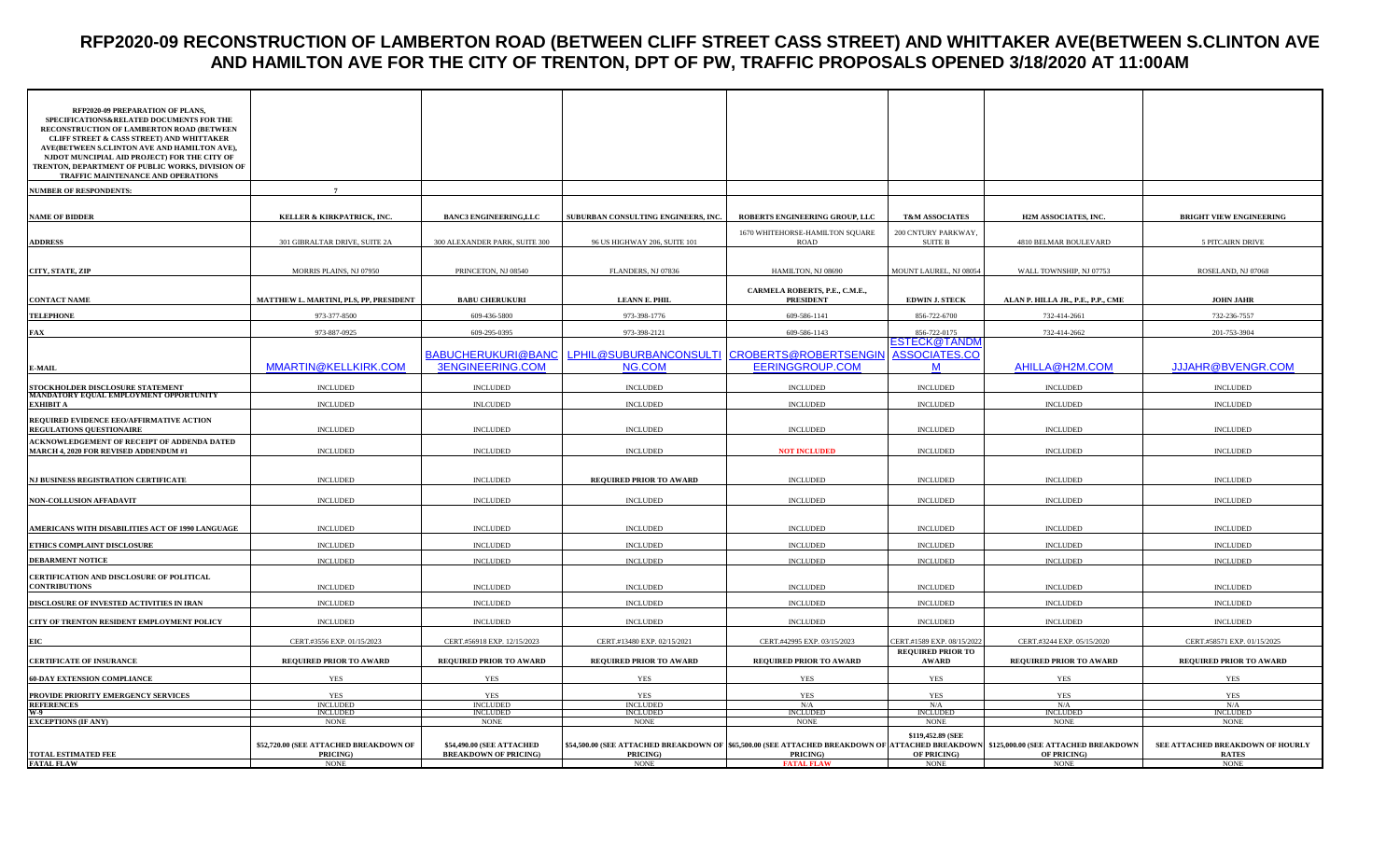### **RFP2020-09 RECONSTRUCTION OF LAMBERTON ROAD (BETWEEN CLIFF STREET CASS STREET) AND WHITTAKER AVE(BETWEEN S.CLINTON AVE AND HAMILTON AVE FOR THE CITY OF TRENTON, DPT OF PW, TRAFFIC PROPOSALS OPENED 3/18/2020 AT 11:00AM**

| RFP2020-09 PREPARATION OF PLANS,<br>SPECIFICATIONS&RELATED DOCUMENTS FOR THE<br>RECONSTRUCTION OF LAMBERTON ROAD (BETWEEN<br><b>CLIFF STREET &amp; CASS STREET) AND WHITTAKER</b><br>AVE(BETWEEN S.CLINTON AVE AND HAMILTON AVE),<br>NJDOT MUNCIPIAL AID PROJECT) FOR THE CITY OF<br>TRENTON, DEPARTMENT OF PUBLIC WORKS, DIVISION OF<br>TRAFFIC MAINTENANCE AND OPERATIONS |                                                                   |                                                           |                                                                                                                                                                  |                                                    |                                                 |                                    |                                                                 |
|-----------------------------------------------------------------------------------------------------------------------------------------------------------------------------------------------------------------------------------------------------------------------------------------------------------------------------------------------------------------------------|-------------------------------------------------------------------|-----------------------------------------------------------|------------------------------------------------------------------------------------------------------------------------------------------------------------------|----------------------------------------------------|-------------------------------------------------|------------------------------------|-----------------------------------------------------------------|
| <b>NUMBER OF RESPONDENTS:</b>                                                                                                                                                                                                                                                                                                                                               | $\overline{7}$                                                    |                                                           |                                                                                                                                                                  |                                                    |                                                 |                                    |                                                                 |
| <b>NAME OF BIDDER</b>                                                                                                                                                                                                                                                                                                                                                       | KELLER & KIRKPATRICK, INC.                                        | <b>BANC3 ENGINEERING,LLC</b>                              | SUBURBAN CONSULTING ENGINEERS, INC.                                                                                                                              | ROBERTS ENGINEERING GROUP, LLC                     | <b>T&amp;M ASSOCIATES</b>                       | H2M ASSOCIATES, INC.               | <b>BRIGHT VIEW ENGINEERING</b>                                  |
| <b>ADDRESS</b>                                                                                                                                                                                                                                                                                                                                                              | 301 GIBRALTAR DRIVE, SUITE 2A                                     | 300 ALEXANDER PARK, SUITE 300                             | 96 US HIGHWAY 206, SUITE 101                                                                                                                                     | 1670 WHITEHORSE-HAMILTON SQUARE<br>ROAD            | 200 CNTURY PARKWAY,<br><b>SUITE B</b>           | 4810 BELMAR BOULEVARD              | 5 PITCAIRN DRIVE                                                |
| CITY, STATE, ZIP                                                                                                                                                                                                                                                                                                                                                            | MORRIS PLAINS, NJ 07950                                           | PRINCETON, NJ 08540                                       | FLANDERS, NJ 07836                                                                                                                                               | HAMILTON, NJ 08690                                 | MOUNT LAUREL, NJ 08054                          | WALL TOWNSHIP, NJ 07753            | ROSELAND, NJ 07068                                              |
| <b>CONTACT NAME</b>                                                                                                                                                                                                                                                                                                                                                         | MATTHEW L. MARTINI, PLS, PP, PRESIDENT                            | <b>BABU CHERUKURI</b>                                     | <b>LEANN E. PHIL</b>                                                                                                                                             | CARMELA ROBERTS, P.E., C.M.E.,<br><b>PRESIDENT</b> | <b>EDWIN J. STECK</b>                           | ALAN P. HILLA JR., P.E., P.P., CME | <b>JOHN JAHR</b>                                                |
| <b>TELEPHONE</b>                                                                                                                                                                                                                                                                                                                                                            | 973-377-8500                                                      | 609-436-5800                                              | 973-398-1776                                                                                                                                                     | 609-586-1141                                       | 856-722-6700                                    | 732-414-2661                       | 732-236-7557                                                    |
| <b>FAX</b>                                                                                                                                                                                                                                                                                                                                                                  | 973-887-0925                                                      | 609-295-0395                                              | 973-398-2121                                                                                                                                                     | 609-586-1143                                       | 856-722-0175                                    | 732-414-2662                       | 201-753-3904                                                    |
| <b>E-MAIL</b>                                                                                                                                                                                                                                                                                                                                                               | MMARTIN@KELLKIRK.COM                                              | BABUCHERUKURI@BANC<br><b>3ENGINEERING.COM</b>             | LPHIL@SUBURBANCONSULTI CROBERTS@ROBERTSENGIN<br>NG.COM                                                                                                           | <b>EERINGGROUP.COM</b>                             | ESTECK@TANDI<br>ASSOCIATES.CO<br>M              | AHILLA@H2M.COM                     | <b>JJJAHR@BVENGR.COM</b>                                        |
|                                                                                                                                                                                                                                                                                                                                                                             | <b>INCLUDED</b>                                                   | <b>INCLUDED</b>                                           | <b>INCLUDED</b>                                                                                                                                                  | <b>INCLUDED</b>                                    | <b>INCLUDED</b>                                 | <b>INCLUDED</b>                    | <b>INCLUDED</b>                                                 |
| STOCKHOLDER DISCLOSURE STATEMENT<br>MANDATORY EQUAL EMPLOYMENT OPPORTUNITY<br><b>EXHIBIT A</b>                                                                                                                                                                                                                                                                              |                                                                   |                                                           | <b>INCLUDED</b>                                                                                                                                                  | <b>INCLUDED</b>                                    |                                                 | <b>INCLUDED</b>                    | <b>INCLUDED</b>                                                 |
| REQUIRED EVIDENCE EEO/AFFIRMATIVE ACTION<br>REGULATIONS QUESTIONAIRE                                                                                                                                                                                                                                                                                                        | <b>INCLUDED</b><br><b>INCLUDED</b>                                | <b>INLCUDED</b><br><b>INCLUDED</b>                        | <b>INCLUDED</b>                                                                                                                                                  | <b>INCLUDED</b>                                    | <b>INCLUDED</b><br><b>INCLUDED</b>              | <b>INCLUDED</b>                    | <b>INCLUDED</b>                                                 |
| ACKNOWLEDGEMENT OF RECEIPT OF ADDENDA DATED<br>MARCH 4, 2020 FOR REVISED ADDENDUM #1                                                                                                                                                                                                                                                                                        | <b>INCLUDED</b>                                                   | <b>INCLUDED</b>                                           | <b>INCLUDED</b>                                                                                                                                                  | <b>NOT INCLUDED</b>                                | <b>INCLUDED</b>                                 | <b>INCLUDED</b>                    | <b>INCLUDED</b>                                                 |
| NJ BUSINESS REGISTRATION CERTIFICATE                                                                                                                                                                                                                                                                                                                                        | <b>INCLUDED</b>                                                   | <b>INCLUDED</b>                                           | <b>REQUIRED PRIOR TO AWARD</b>                                                                                                                                   | <b>INCLUDED</b>                                    | <b>INCLUDED</b>                                 | <b>INCLUDED</b>                    | <b>INCLUDED</b>                                                 |
| NON-COLLUSION AFFADAVIT                                                                                                                                                                                                                                                                                                                                                     | <b>INCLUDED</b>                                                   | <b>INCLUDED</b>                                           | <b>INCLUDED</b>                                                                                                                                                  | <b>INCLUDED</b>                                    | <b>INCLUDED</b>                                 | <b>INCLUDED</b>                    | <b>INCLUDED</b>                                                 |
| AMERICANS WITH DISABILITIES ACT OF 1990 LANGUAGE                                                                                                                                                                                                                                                                                                                            | <b>INCLUDED</b>                                                   | <b>INCLUDED</b>                                           | <b>INCLUDED</b>                                                                                                                                                  | <b>INCLUDED</b>                                    | <b>INCLUDED</b>                                 | <b>INCLUDED</b>                    | <b>INCLUDED</b>                                                 |
| ETHICS COMPLAINT DISCLOSURE                                                                                                                                                                                                                                                                                                                                                 | <b>INCLUDED</b>                                                   | <b>INCLUDED</b>                                           | <b>INCLUDED</b>                                                                                                                                                  | <b>INCLUDED</b>                                    | <b>INCLUDED</b>                                 | <b>INCLUDED</b>                    | <b>INCLUDED</b>                                                 |
| <b>DEBARMENT NOTICE</b>                                                                                                                                                                                                                                                                                                                                                     | <b>INCLUDED</b>                                                   | <b>INCLUDED</b>                                           | <b>INCLUDED</b>                                                                                                                                                  | <b>INCLUDED</b>                                    | <b>INCLUDED</b>                                 | <b>INCLUDED</b>                    | <b>INCLUDED</b>                                                 |
| CERTIFICATION AND DISCLOSURE OF POLITICAL<br><b>CONTRIBUTIONS</b>                                                                                                                                                                                                                                                                                                           | <b>INCLUDED</b>                                                   | <b>INCLUDED</b>                                           | <b>INCLUDED</b>                                                                                                                                                  | <b>INCLUDED</b>                                    | <b>INCLUDED</b>                                 | <b>INCLUDED</b>                    | <b>INCLUDED</b>                                                 |
| DISCLOSURE OF INVESTED ACTIVITIES IN IRAN                                                                                                                                                                                                                                                                                                                                   | <b>INCLUDED</b>                                                   | <b>INCLUDED</b>                                           | <b>INCLUDED</b>                                                                                                                                                  | <b>INCLUDED</b>                                    | <b>INCLUDED</b>                                 | <b>INCLUDED</b>                    | <b>INCLUDED</b>                                                 |
| CITY OF TRENTON RESIDENT EMPLOYMENT POLICY                                                                                                                                                                                                                                                                                                                                  | <b>INCLUDED</b>                                                   | <b>INCLUDED</b>                                           | <b>INCLUDED</b>                                                                                                                                                  | <b>INCLUDED</b>                                    | <b>INCLUDED</b>                                 | <b>INCLUDED</b>                    | <b>INCLUDED</b>                                                 |
|                                                                                                                                                                                                                                                                                                                                                                             | CERT.#3556 EXP. 01/15/2023                                        | CERT.#56918 EXP. 12/15/2023                               | CERT.#13480 EXP. 02/15/2021                                                                                                                                      | CERT.#42995 EXP. 03/15/2023                        | CERT.#1589 EXP. 08/15/2022                      | CERT.#3244 EXP. 05/15/2020         | CERT.#58571 EXP. 01/15/2025                                     |
| <b>CERTIFICATE OF INSURANCE</b>                                                                                                                                                                                                                                                                                                                                             | REQUIRED PRIOR TO AWARD                                           | <b>REQUIRED PRIOR TO AWARD</b>                            | <b>REQUIRED PRIOR TO AWARD</b>                                                                                                                                   | <b>REQUIRED PRIOR TO AWARD</b>                     | <b>REQUIRED PRIOR TO</b><br><b>AWARD</b>        | REQUIRED PRIOR TO AWARD            | <b>REQUIRED PRIOR TO AWARD</b>                                  |
| <b>60-DAY EXTENSION COMPLIANCE</b>                                                                                                                                                                                                                                                                                                                                          | YES                                                               | YES                                                       | <b>YES</b>                                                                                                                                                       | <b>YES</b>                                         | YES                                             | <b>YES</b>                         | <b>YES</b>                                                      |
|                                                                                                                                                                                                                                                                                                                                                                             | YES                                                               | YES                                                       | <b>YES</b>                                                                                                                                                       | <b>YES</b>                                         | <b>YES</b>                                      | <b>YES</b>                         | <b>YES</b>                                                      |
| PROVIDE PRIORITY EMERGENCY SERVICES<br>REFERENCES<br>WA<br>EXCEPTIONS (IF ANY)                                                                                                                                                                                                                                                                                              | <b>INCLUDED</b><br><b>INCLUDED</b>                                | <b>INCLUDED</b><br><b>INCLUDED</b>                        | <b>INCLUDED</b><br><b>INCLUDED</b>                                                                                                                               | N/A<br><b>INCLUDED</b>                             | N/A<br><b>INCLUDED</b>                          | N/A<br>INCLUDED                    | N/A<br>INCLUDED                                                 |
|                                                                                                                                                                                                                                                                                                                                                                             | <b>NONE</b>                                                       | <b>NONE</b>                                               | <b>NONE</b>                                                                                                                                                      | <b>NONE</b>                                        | <b>NONE</b>                                     | $\rm{NONE}$                        | $\rm{NONE}$                                                     |
| <b>TOTAL ESTIMATED FEE</b><br><b>FATAL FLAW</b>                                                                                                                                                                                                                                                                                                                             | \$52,720.00 (SEE ATTACHED BREAKDOWN OF<br>PRICING)<br><b>NONE</b> | \$54,490.00 (SEE ATTACHED<br><b>BREAKDOWN OF PRICING)</b> | \$54,500.00 (SEE ATTACHED BREAKDOWN OF \$65,500.00 (SEE ATTACHED BREAKDOWN OF ATTACHED BREAKDOWN \$125,000.00 (SEE ATTACHED BREAKDOWN<br>PRICING)<br><b>NONE</b> | PRICING)                                           | \$119,452.89 (SEE<br>OF PRICING)<br><b>NONE</b> | OF PRICING)                        | SEE ATTACHED BREAKDOWN OF HOURLY<br><b>RATES</b><br><b>NONE</b> |
|                                                                                                                                                                                                                                                                                                                                                                             |                                                                   |                                                           |                                                                                                                                                                  | <b>FATAL FLAW</b>                                  |                                                 | <b>NONE</b>                        |                                                                 |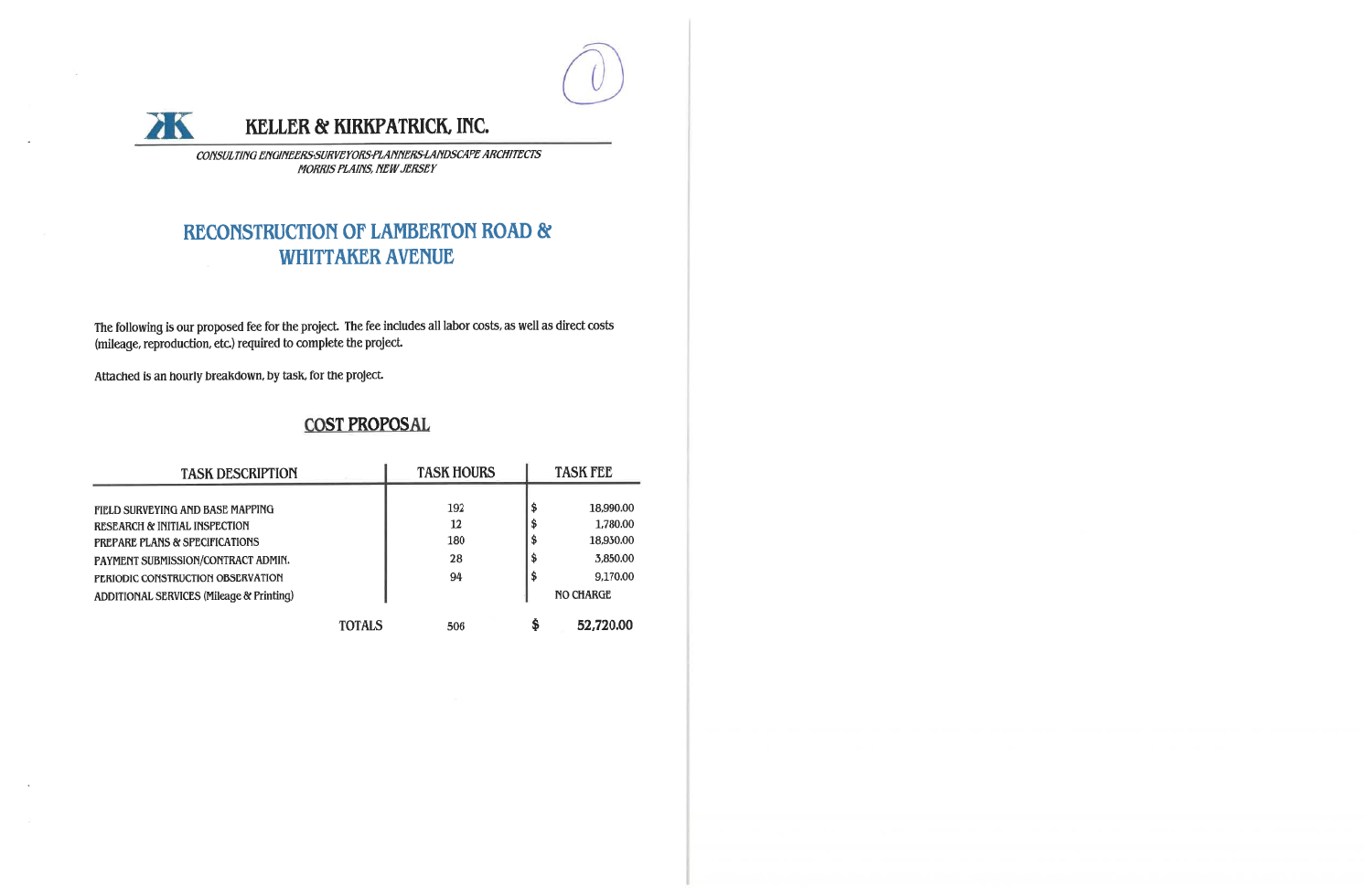



# KELLER & KIRKPATRICK, INC.

CONSULTING ENGINEERS SURVEYORS PLANNERS LANDSCAPE ARCHITECTS **MORRIS PLAINS, NEW JERSEY** 

# **RECONSTRUCTION OF LAMBERTON ROAD & WHITTAKER AVENUE**

The following is our proposed fee for the project. The fee includes all labor costs, as well as direct costs (mileage, reproduction, etc.) required to complete the project.

Attached is an hourly breakdown, by task, for the project.

## **COST PROPOSAL**

| <b>TASK DESCRIPTION</b>                  | <b>TASK HOURS</b> | <b>TASK FEE</b> |
|------------------------------------------|-------------------|-----------------|
|                                          |                   |                 |
| FIELD SURVEYING AND BASE MAPPING         | 192               | \$<br>18,990.00 |
| RESEARCH & INITIAL INSPECTION            | <b>12</b>         | \$<br>1,780.00  |
| PREPARE PLANS & SPECIFICATIONS           | 180               | \$<br>18,930.00 |
| PAYMENT SUBMISSION/CONTRACT ADMIN.       | 28                | \$<br>3,850.00  |
| PERIODIC CONSTRUCTION OBSERVATION        | 94                | \$<br>9,170.00  |
| ADDITIONAL SERVICES (Mileage & Printing) |                   | NO CHARGE       |
| <b>TOTALS</b>                            | 506               | \$<br>52,720.00 |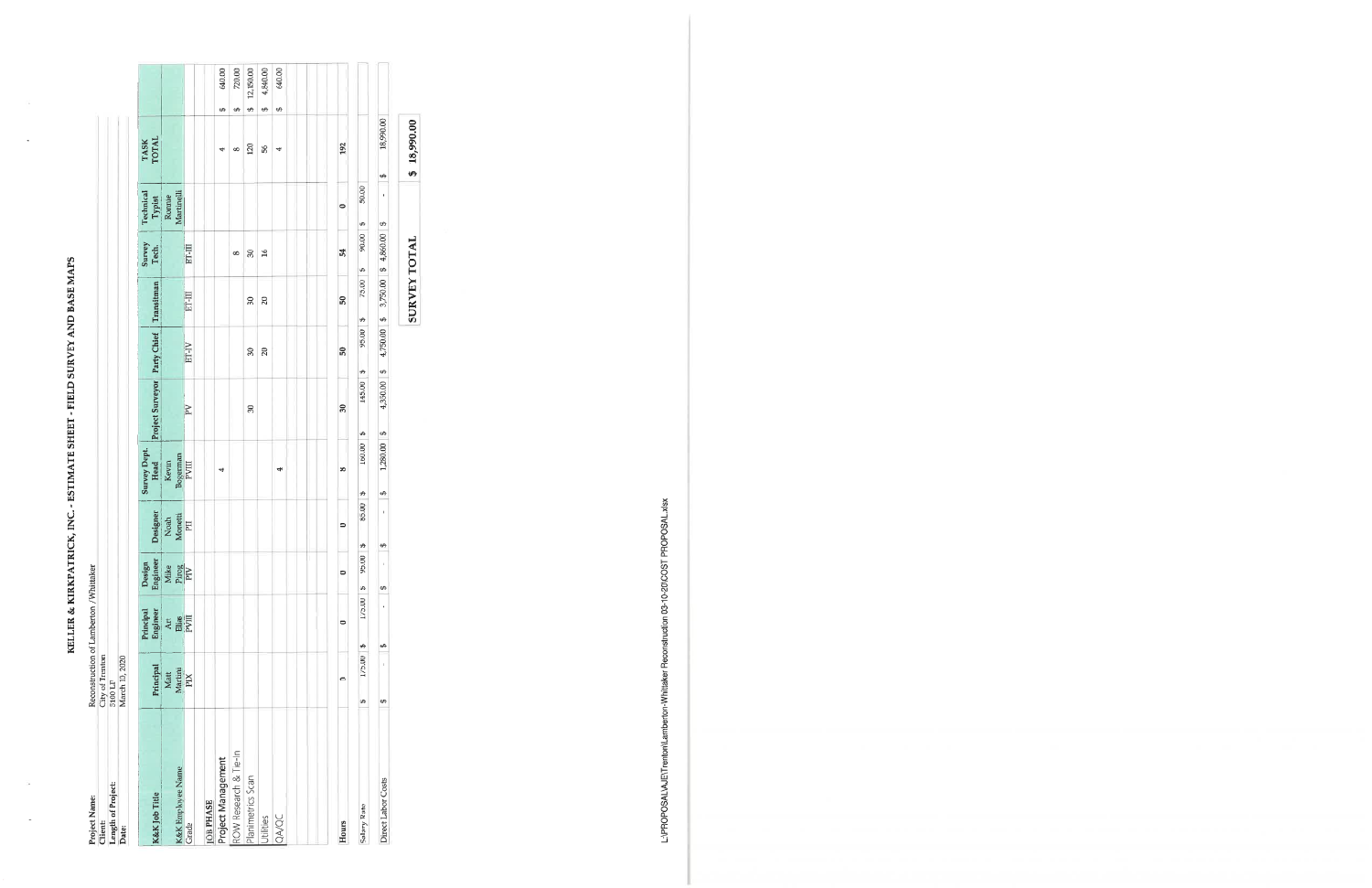${\bf KELI. ER\ & KIRKPARPARIRCK, INC.-ESTIMATE SHEFT - FIELD SURVRY AND BASE MAPS\ \\ Reconstruction of Lamberton /Whitaker\ \\ City of Trenton$ 

| Length of Project:<br>Client: | City of Trenton<br>5100 LF |                       |                      |                                  |                      |                                         |              |                     |                      |                      |                |    |           |
|-------------------------------|----------------------------|-----------------------|----------------------|----------------------------------|----------------------|-----------------------------------------|--------------|---------------------|----------------------|----------------------|----------------|----|-----------|
| Date:                         | March 10, 2020             |                       |                      |                                  |                      |                                         |              |                     |                      |                      |                |    |           |
| K&K Job Title                 | Principal                  | Engineer<br>Principal | Engineer<br>Design   | Designer                         | Survey Dept.<br>Head | Project Surveyor Party Chief Transitman |              |                     | Survey<br>Tech.      | Technical<br>Typist  | TASK<br>TOTAL  |    |           |
| K&K Employee Name             | Matt<br>Martini            | Art                   | Mike<br>Pirog<br>PIV | $\frac{\text{Noah}}{\text{PII}}$ | Bogerman<br>Kevin    |                                         |              |                     |                      | Martinelli<br>Ronnie |                |    |           |
| Grade                         | <b>NId</b>                 | <b>Elias</b><br>PVIII |                      |                                  | <b>IIIAd</b>         | $\mathbb{R}^n$                          | ET-IV        | ET-III              | ET-III               |                      |                |    |           |
| <b>IOB PHASE</b>              |                            |                       |                      |                                  |                      |                                         |              |                     |                      |                      |                |    |           |
| Project Management            |                            |                       |                      |                                  | 4                    |                                         |              |                     |                      |                      | 4              | €Ĥ | 640.00    |
| ROW Research & Tie-In         |                            |                       |                      |                                  |                      |                                         |              |                     | $\infty$             |                      | œ              | ₩  | 720.00    |
| Planimetrics Scan             |                            |                       |                      |                                  |                      | R                                       | S,           | $\overline{30}$     | 90                   |                      | 120            | ₩  | 12,150.00 |
| Utilities                     |                            |                       |                      |                                  |                      |                                         | $\mathbf{E}$ | 20                  | $\overline{16}$      |                      | \$ğ            | €Ą | 4,840.00  |
| <b>QA/QC</b>                  |                            |                       |                      |                                  | 4                    |                                         |              |                     |                      |                      | 4              | 6  | 640.00    |
|                               |                            |                       |                      |                                  |                      |                                         |              |                     |                      |                      |                |    |           |
| Hours                         | 0                          | $\bullet$             | $\bullet$            | $\circ$                          | $\infty$             | $\overline{30}$                         | និ           | ន                   | 54                   | $\bullet$            | 192            |    |           |
| Salary Rate                   | 175.00<br>↮                | 175.00<br>49          | 95.00<br>s           | 85.00<br>₩                       | 160.00<br>↮          | 145.00<br>↮                             | 95.00<br>eA  | 75.00<br>₩          | 90.00<br>S,          | 50.00<br>₩           |                |    |           |
| Direct Labor Costs            | $\mathbf{I}$<br>Đ,         | ï<br>↮                | ı<br>↔               | $\mathbf{I}$<br>÷                | 1,280.00<br>÷Ĥ       | 4,350.00 \$<br>$\triangle$              | 4,750.00 \$  |                     | 3,750.00 \$ 4,860.00 | f,<br>$\theta$       | 18,990.00<br>₩ |    |           |
|                               |                            |                       |                      |                                  |                      |                                         |              | <b>SURVEY TOTAL</b> |                      |                      | \$18,990.00    |    |           |

L:\PROPOSAL\AJE\Trenton\Lamberton-Whittaker Reconstruction 03-10-20\COST PROPOSAL.xlsx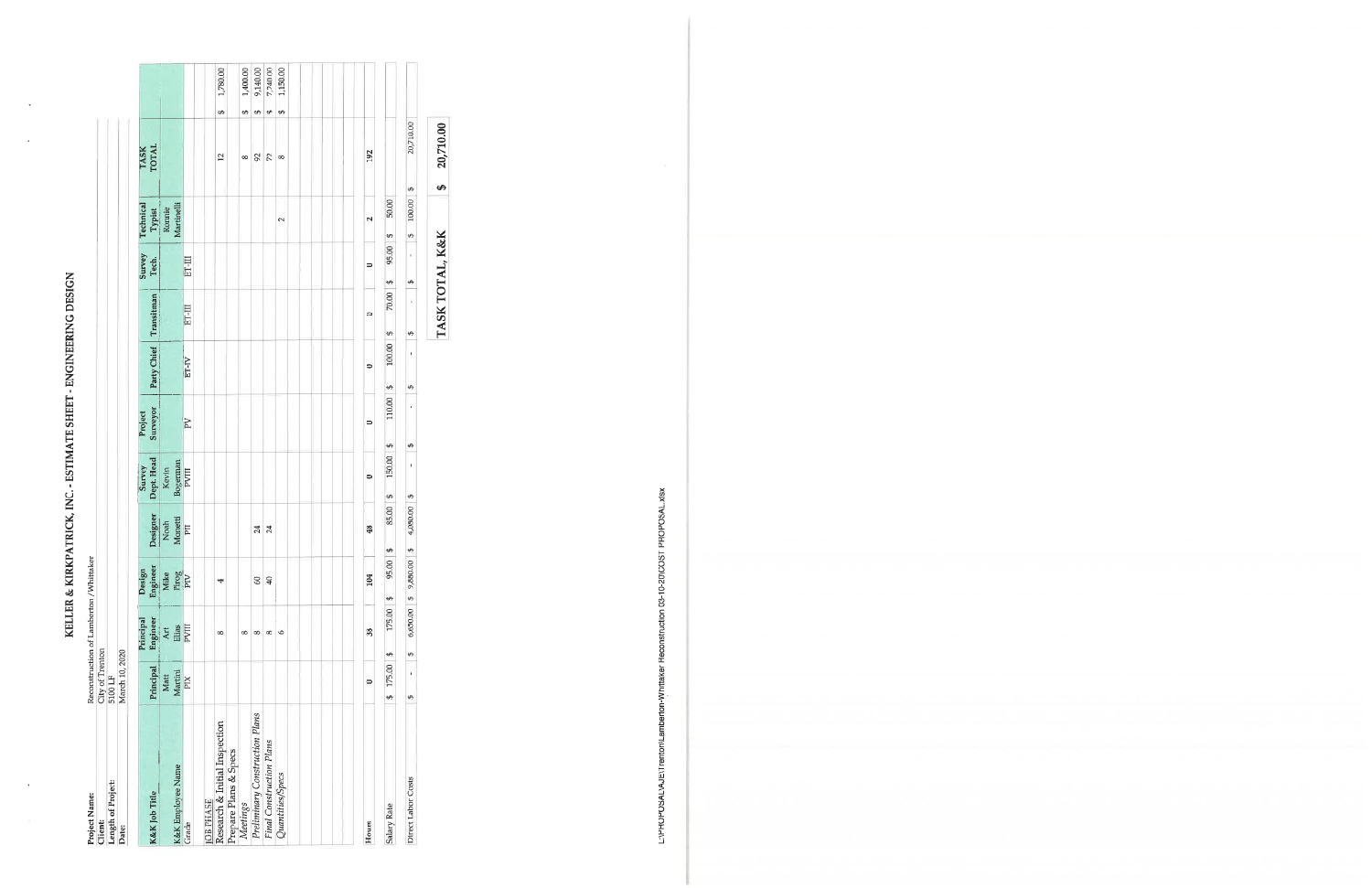KELLER & KIRKPATRICK, INC. - ESTIMATE SHEET - ENGINEERING DESIGN

| Project Name:<br><b>Client:</b> | City of Trenton   | Reconstruction of Lamberton / Whittaker |                            |                  |                     |                     |                     |                 |                     |                      |               |               |                   |          |
|---------------------------------|-------------------|-----------------------------------------|----------------------------|------------------|---------------------|---------------------|---------------------|-----------------|---------------------|----------------------|---------------|---------------|-------------------|----------|
| Length of Project:              | 5100 LF           |                                         |                            |                  |                     |                     |                     |                 |                     |                      |               |               |                   |          |
| Date:                           | March 10, 2020    |                                         |                            |                  |                     |                     |                     |                 |                     |                      |               |               |                   |          |
| K&K Job Title                   |                   | Principal                               | Design                     |                  | Survey              | Project<br>Surveyor |                     |                 | Survey<br>Tech.     | Technical            |               | TASK<br>TOTAL |                   |          |
|                                 | Principal<br>Matt | Engineer<br>Art                         | Engineer<br>Mike           | Designer<br>Noah | Dept. Head<br>Kevin |                     | Party Chief         | Transitman      |                     | Typist<br>Ronnie     |               |               |                   |          |
| K&K Employee Name               | Martini           | Elias                                   | Pirog                      | Monetti          | Bogerman            |                     |                     |                 |                     | Martinelli           |               |               |                   |          |
| Grade                           | PIX               | PVIII                                   |                            | <b>Lid</b>       | <b>PVIII</b>        | PV                  | $ET-N$              | ET-III          | ET-III              |                      |               |               |                   |          |
| <b>JOB PHASE</b>                |                   |                                         |                            |                  |                     |                     |                     |                 |                     |                      |               |               |                   |          |
| Research & Initial Inspection   |                   | $\infty$                                | 4                          |                  |                     |                     |                     |                 |                     |                      |               | 12            | ₩                 | 1,780.00 |
| Prepare Plans & Specs           |                   |                                         |                            |                  |                     |                     |                     |                 |                     |                      |               |               |                   |          |
| Meetings                        |                   | œ                                       |                            |                  |                     |                     |                     |                 |                     |                      |               | $\infty$      | ÷,                | 1,400.00 |
| Preliminary Construction Plans  |                   | $\infty$                                | 60                         | 24               |                     |                     |                     |                 |                     |                      |               | 92            | $\leftrightarrow$ | 9,140.00 |
| Final Construction Plans        |                   | $\infty$                                | $\mathbf{Q}$               | 24               |                     |                     |                     |                 |                     |                      |               | 72            | $\leftrightarrow$ | 7,240.00 |
| Quantities/Specs                |                   | $\circ$                                 |                            |                  |                     |                     |                     |                 |                     | $\sim$               |               | $^{\circ}$    | SĄ                | 1,150.00 |
|                                 |                   |                                         |                            |                  |                     |                     |                     |                 |                     |                      |               |               |                   |          |
|                                 |                   |                                         |                            |                  |                     |                     |                     |                 |                     |                      |               |               |                   |          |
|                                 |                   |                                         |                            |                  |                     |                     |                     |                 |                     |                      |               |               |                   |          |
| Hours                           | $\bullet$         | 38                                      | 104                        | 48               | $\circ$             | 0                   | $\bullet$           | 0               | $\bullet$           | $\mathbf{\tilde{c}}$ |               | 192           |                   |          |
| Salary Rate                     | 175.00<br>€Ą      | 175.00<br>÷                             | $\overline{8}$<br>95.<br>₩ | 85.00<br>ΨĐ      | 150.00<br>↮         | 110.00<br>$\theta$  | 100.00<br>↮         | 70.00<br>S      | 95.00<br>₩          | 50.00<br>Đ)          |               |               |                   |          |
| Direct Labor Costs              | $\mathbf I$<br>49 | 6,650.00 \$<br>S                        | $\overline{0}$<br>9,880.   | 4,080.00<br>49   | $\mathbf{I}$<br>↮   | $\,$<br>↮           | $\mathfrak{t}$<br>s | y<br>$\Theta$   | $\bar{\rm t}$<br>e۵ | 100.00<br>49         | $\rightarrow$ | 20,710.00     |                   |          |
|                                 |                   |                                         |                            |                  |                     |                     |                     | TASK TOTAL, K&K |                     |                      | €Ą            | 20,710.00     |                   |          |

L:\PROPOSAL\AJE\Trenton\Lamberton-Whittaker Reconstruction 03-10-20\COST PROPOSAL.xlsx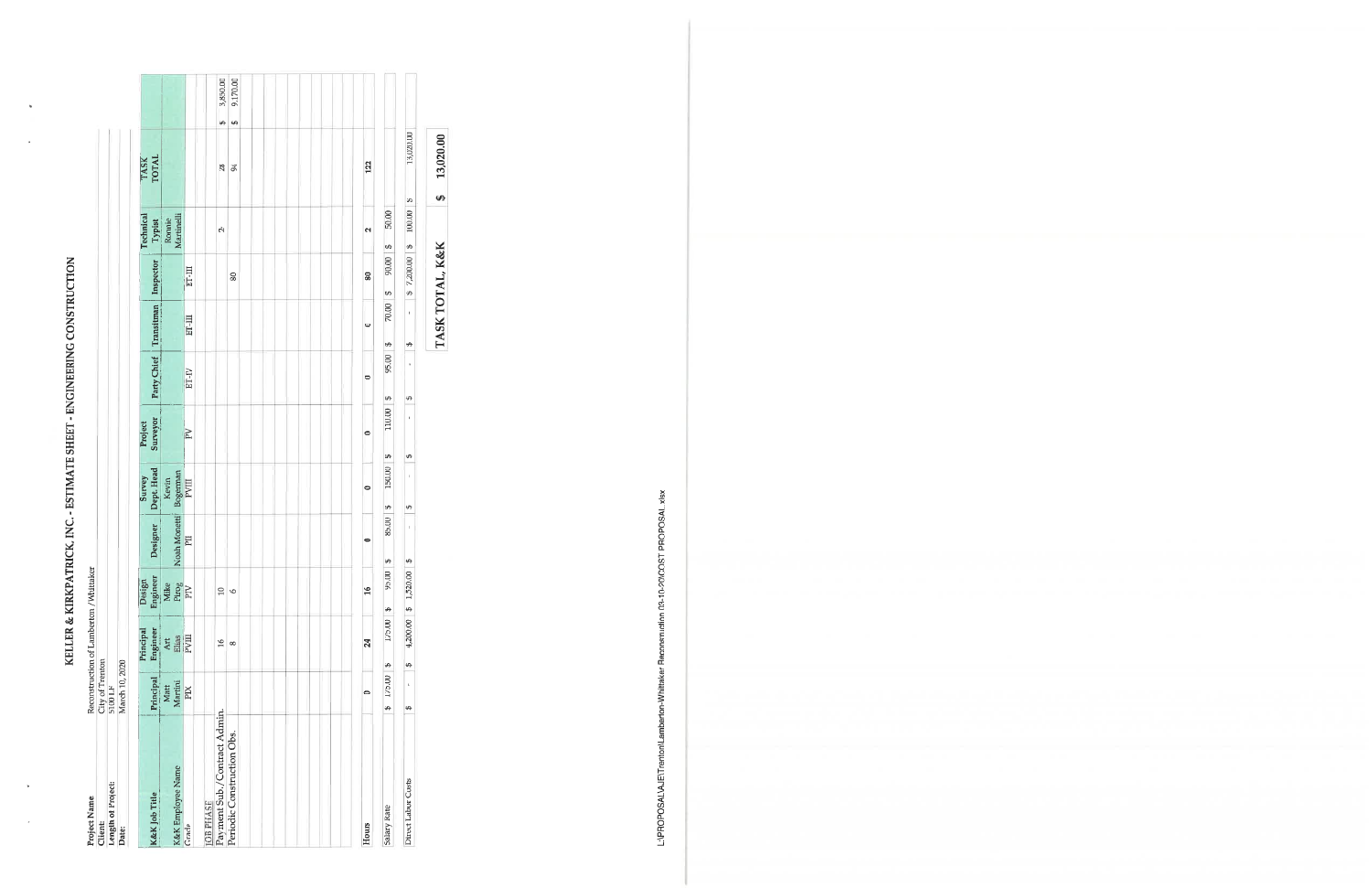KELLER & KIRKPATRICK, INC. - ESTIMATE SHEET - ENGINEERING CONSTRUCTION

| Project Name:<br>Client:     | City of Trenton    | Reconstruction of Lamberton / Whittaker |                                  |                    |                                                                    |                     |                          |                 |                |                  |                       |          |          |
|------------------------------|--------------------|-----------------------------------------|----------------------------------|--------------------|--------------------------------------------------------------------|---------------------|--------------------------|-----------------|----------------|------------------|-----------------------|----------|----------|
| Length of Project:           | 5100 LF            |                                         |                                  |                    |                                                                    |                     |                          |                 |                |                  |                       |          |          |
| Date:                        | March 10, 2020     |                                         |                                  |                    |                                                                    |                     |                          |                 |                |                  |                       |          |          |
| K&K Job Title                | Principal          | Engineer<br>Principal                   | Engineer<br>Design               | Designer           | Dept. Head<br>Survey                                               | Surveyor<br>Project | Party Chief              | Transitman      | Inspector      | Technical        | <b>TASK</b><br>TOTAL  |          |          |
|                              | Matt               | Art                                     | <b>Mike</b>                      |                    | Kevin                                                              |                     |                          |                 |                | Ronnie<br>Typist |                       |          |          |
| <b>K&amp;K</b> Employee Name | Martini            | $\frac{\rm \,Bias}{\rm \,PVIII}$        | $\frac{\text{Prog}}{\text{PIV}}$ | Noah Monetti       |                                                                    |                     |                          |                 |                | Martinelli       |                       |          |          |
| Grade                        | <b>EX</b>          |                                         |                                  | LId                | $\begin{array}{c} \texttt{Bogerman} \\ \texttt{PVIII} \end{array}$ | $\overline{P}V$     | ET-IV                    | ET-III          | ET-II          |                  |                       |          |          |
| <b>JOB PHASE</b>             |                    |                                         |                                  |                    |                                                                    |                     |                          |                 |                |                  |                       |          |          |
| Payment Sub./Contract Admin. |                    | $\frac{6}{2}$                           | $\overline{10}$                  |                    |                                                                    |                     |                          |                 |                | Ņ                | 28                    | €Ĥ       | 3,850.00 |
| Periodic Construction Obs.   |                    | $\infty$                                | $\circ$                          |                    |                                                                    |                     |                          |                 | 80             |                  | 94                    | $\Theta$ | 9,170.00 |
|                              |                    |                                         |                                  |                    |                                                                    |                     |                          |                 |                |                  |                       |          |          |
| Hours                        | 0                  | 24                                      | $\frac{16}{2}$                   | 0                  | $\bullet$                                                          | $\circ$             | $\overline{\phantom{0}}$ | $\bullet$       | 80             | $\mathbf{N}$     | 122                   |          |          |
| Salary Rate                  | 175.00<br>₩        | 175.00<br>↮                             | 95.00<br>↮                       | 85.00<br>÷,        | 150.00<br>÷                                                        | 110.00<br>÷Ą        | 95.00<br>Đ,              | 70.00<br>↮      | 90.00<br>5     | 50.00<br>eA      |                       |          |          |
| Direct Labor Costs           | $\bar{\rm i}$<br>↮ | ↔                                       | $4,200.00$ \$ 1,520.00           | $\mathbf{t}$<br>€Ą | $\mathfrak{t}$<br>G,                                               | $\mathfrak l$<br>₩  | ŧ<br>40                  | ₩               | $$7,200.00$ \$ | 100.00           | 13,020.00<br>$\omega$ |          |          |
|                              |                    |                                         |                                  |                    |                                                                    |                     |                          | TASK TOTAL, K&K |                |                  | 13,020.00<br>ø,       |          |          |

L:\PROPOSAL\AJE\Trenton\Lamberton-Whittaker Reconstruction 03-10-20\COST PROPOSAL.xlsx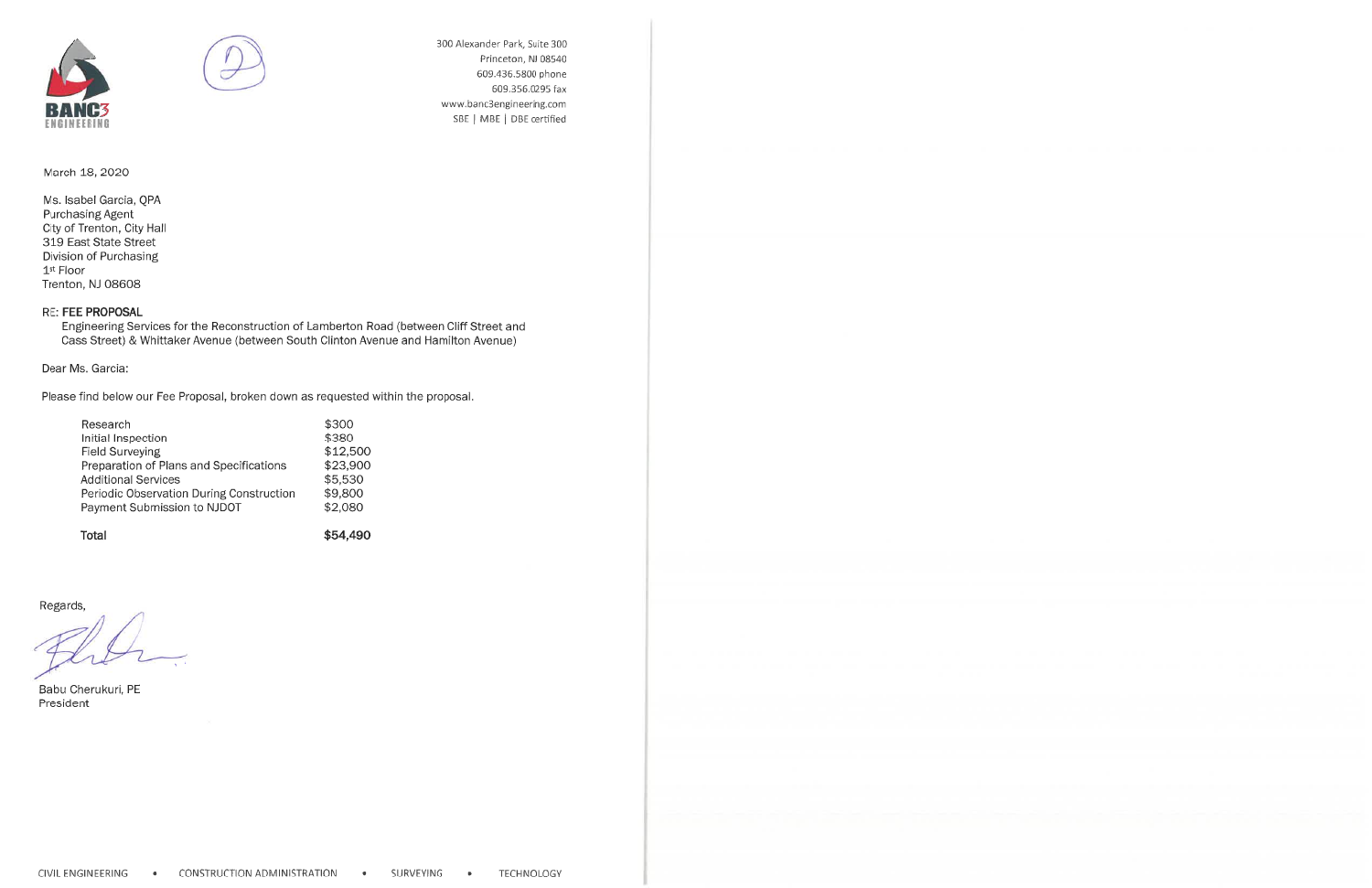



300 Alexander Park, Suite 300 Princeton, NJ 08540 609.436.5800 phone 609.356.0295 fax www.banc3engineering.com SBE | MBE | DBE certified

March 18, 2020

Ms. Isabel Garcia, QPA **Purchasing Agent** City of Trenton, City Hall 319 East State Street Division of Purchasing 1<sup>st</sup> Floor Trenton, NJ 08608

#### **RE: FEE PROPOSAL**

Engineering Services for the Reconstruction of Lamberton Road (between Cliff Street and Cass Street) & Whittaker Avenue (between South Clinton Avenue and Hamilton Avenue)

\$54,490

Dear Ms. Garcia:

Please find below our Fee Proposal, broken down as requested within the proposal.

| Research                                 | \$300    |
|------------------------------------------|----------|
| Initial Inspection                       | \$380    |
| Field Surveying                          | \$12,500 |
| Preparation of Plans and Specifications  | \$23,900 |
| <b>Additional Services</b>               | \$5,530  |
| Periodic Observation During Construction | \$9,800  |
| Payment Submission to NJDOT              | \$2,080  |
|                                          |          |

Total

Regards,

Babu Cherukuri, PE President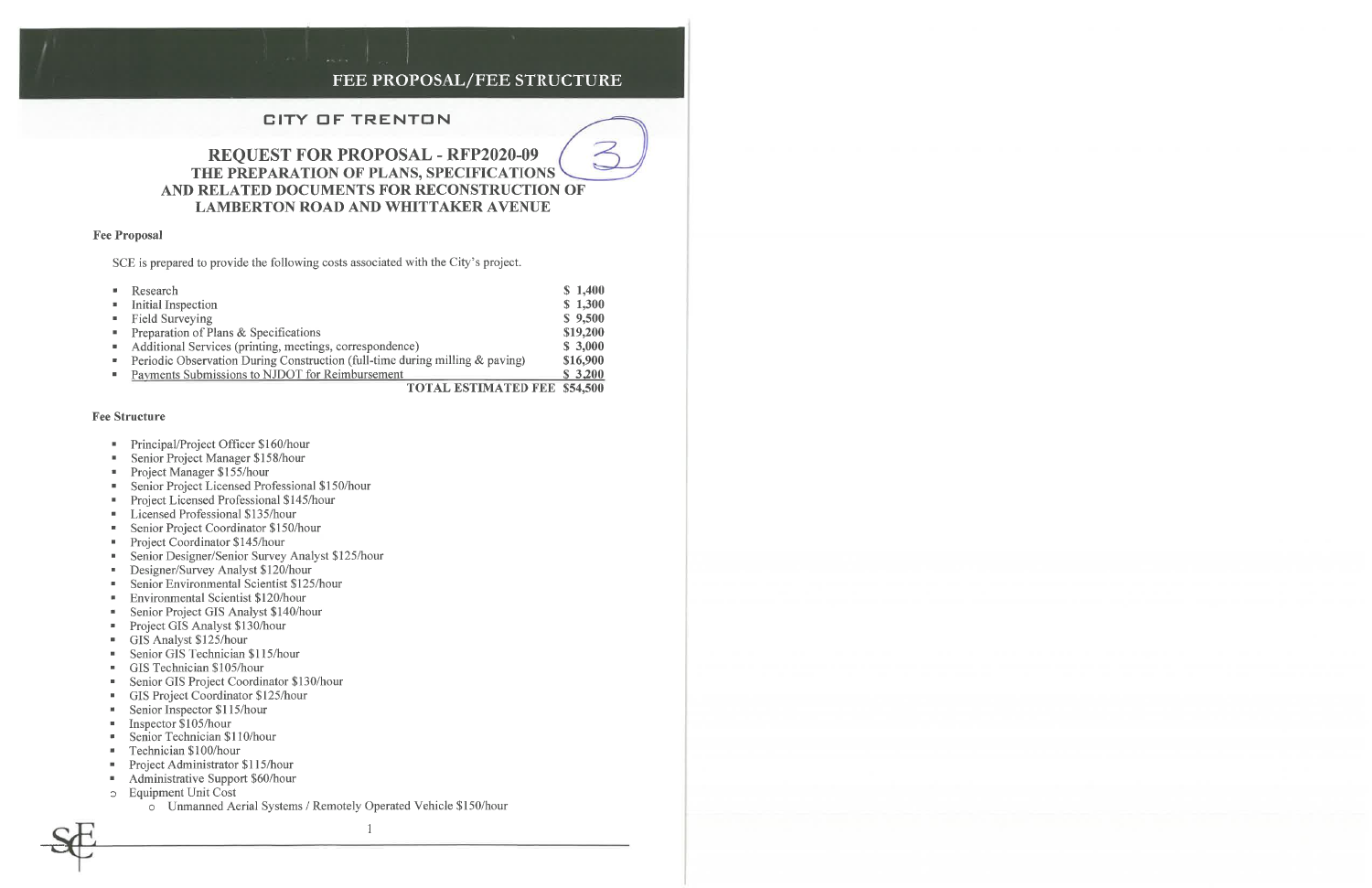## FEE PROPOSAL/FEE STRUCTURE

 $\overline{\phantom{a}}$  $\overline{\phantom{0}}$ 

#### **CITY OF TRENTON**

## **REQUEST FOR PROPOSAL - RFP2020-09** THE PREPARATION OF PLANS, SPECIFICATIONS AND RELATED DOCUMENTS FOR RECONSTRUCTION OF **LAMBERTON ROAD AND WHITTAKER AVENUE**

#### **Fee Proposal**

SCE is prepared to provide the following costs associated with the City's project.

| $\blacksquare$ Research                                                                  | \$1,400         |
|------------------------------------------------------------------------------------------|-----------------|
| <b>Initial Inspection</b>                                                                | \$1,300         |
| • Field Surveying                                                                        | \$9,500         |
| <b>•</b> Preparation of Plans & Specifications                                           | \$19,200        |
| • Additional Services (printing, meetings, correspondence)                               | \$3,000         |
| <b>•</b> Periodic Observation During Construction (full-time during milling $\&$ paving) | \$16,900        |
| • Payments Submissions to NJDOT for Reimbursement                                        | \$3,200         |
| TAT JRAIN JAHRIN BRIGHT                                                                  | $E = 1$ $E = 0$ |

**TOTAL ESTIMATED FEE \$54,500** 

#### **Fee Structure**

- Principal/Project Officer \$160/hour
- Senior Project Manager \$158/hour  $\blacksquare$
- Project Manager \$155/hour  $\mathbf{m}_{\mathrm{eff}}$
- Senior Project Licensed Professional \$150/hour  $\mathbf{u}$  .
- Project Licensed Professional \$145/hour
- Licensed Professional \$135/hour  $\blacksquare$
- Senior Project Coordinator \$150/hour  $\mathbf{R}$  .
- Project Coordinator \$145/hour  $\mathbf{u}$  .
- Senior Designer/Senior Survey Analyst \$125/hour  $\blacksquare$
- Designer/Survey Analyst \$120/hour  $\blacksquare$
- Senior Environmental Scientist \$125/hour  $\mathbf{u}$  .
- Environmental Scientist \$120/hour  $\mathbf{u}$  .
- Senior Project GIS Analyst \$140/hour  $\blacksquare$
- Project GIS Analyst \$130/hour  $\blacksquare$
- GIS Analyst \$125/hour  $\mathbf{u}$
- Senior GIS Technician \$115/hour
- GIS Technician \$105/hour  $\blacksquare$
- Senior GIS Project Coordinator \$130/hour  $\blacksquare$
- GIS Project Coordinator \$125/hour
- Senior Inspector \$115/hour
- Inspector \$105/hour
- Senior Technician \$110/hour
- Technician \$100/hour
- Project Administrator \$115/hour  $\blacksquare$
- Administrative Support \$60/hour  $\blacksquare$
- o Equipment Unit Cost
	- o Unmanned Aerial Systems / Remotely Operated Vehicle \$150/hour

 $\mathbf{1}$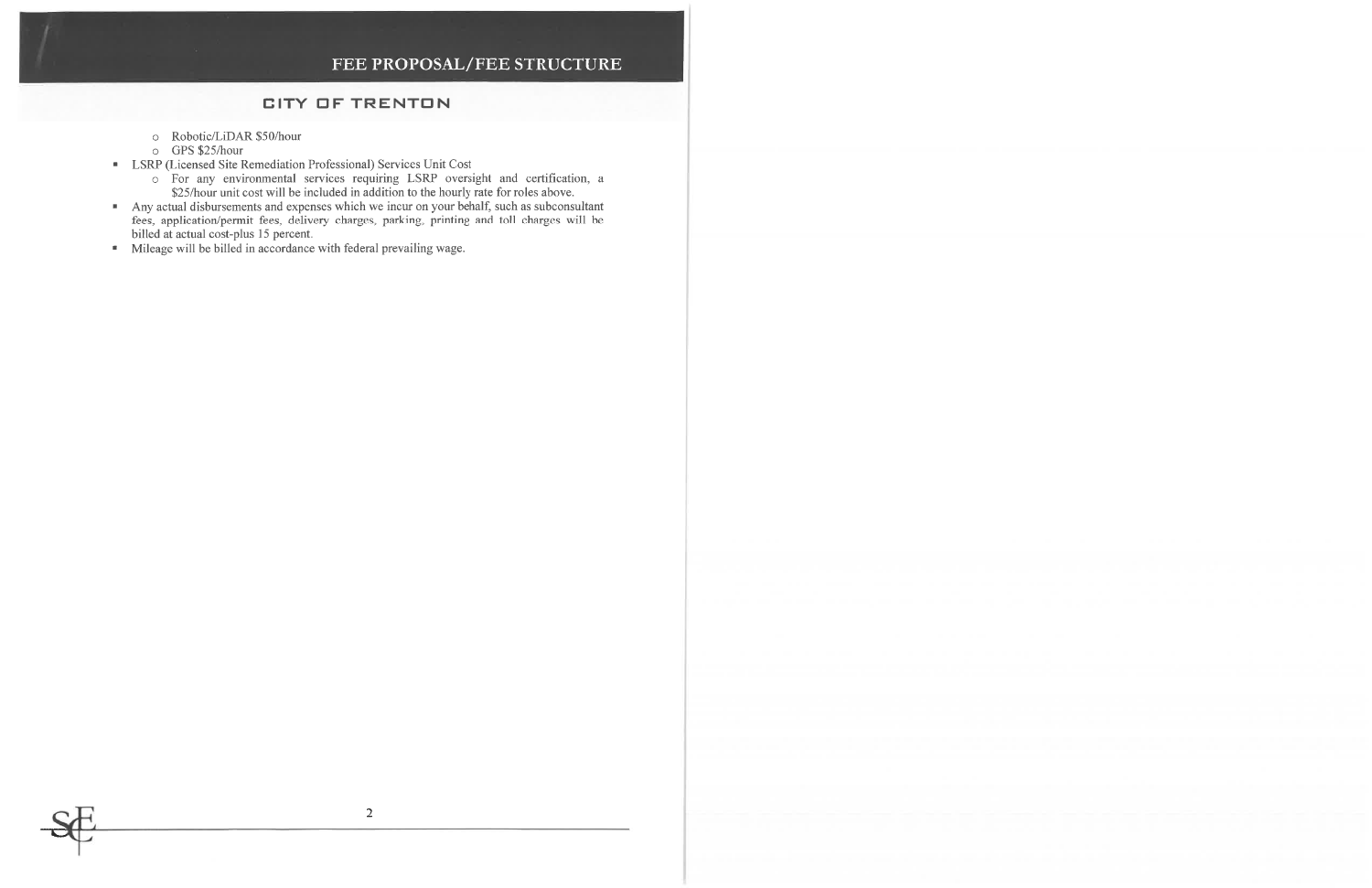## FEE PROPOSAL/FEE STRUCTURE

### **CITY OF TRENTON**

- o Robotic/LiDAR \$50/hour
- o GPS \$25/hour
- LSRP (Licensed Site Remediation Professional) Services Unit Cost
	- For any environmental services requiring LSRP oversight and certification, a \$25/hour unit cost will be included in addition to the hourly rate for roles above.
- Any actual disbursements and expenses which we incur on your behalf, such as subconsultant<br>fees, application/permit fees, delivery charges, parking, printing and toll charges will be billed at actual cost-plus 15 percent.
- Mileage will be billed in accordance with federal prevailing wage.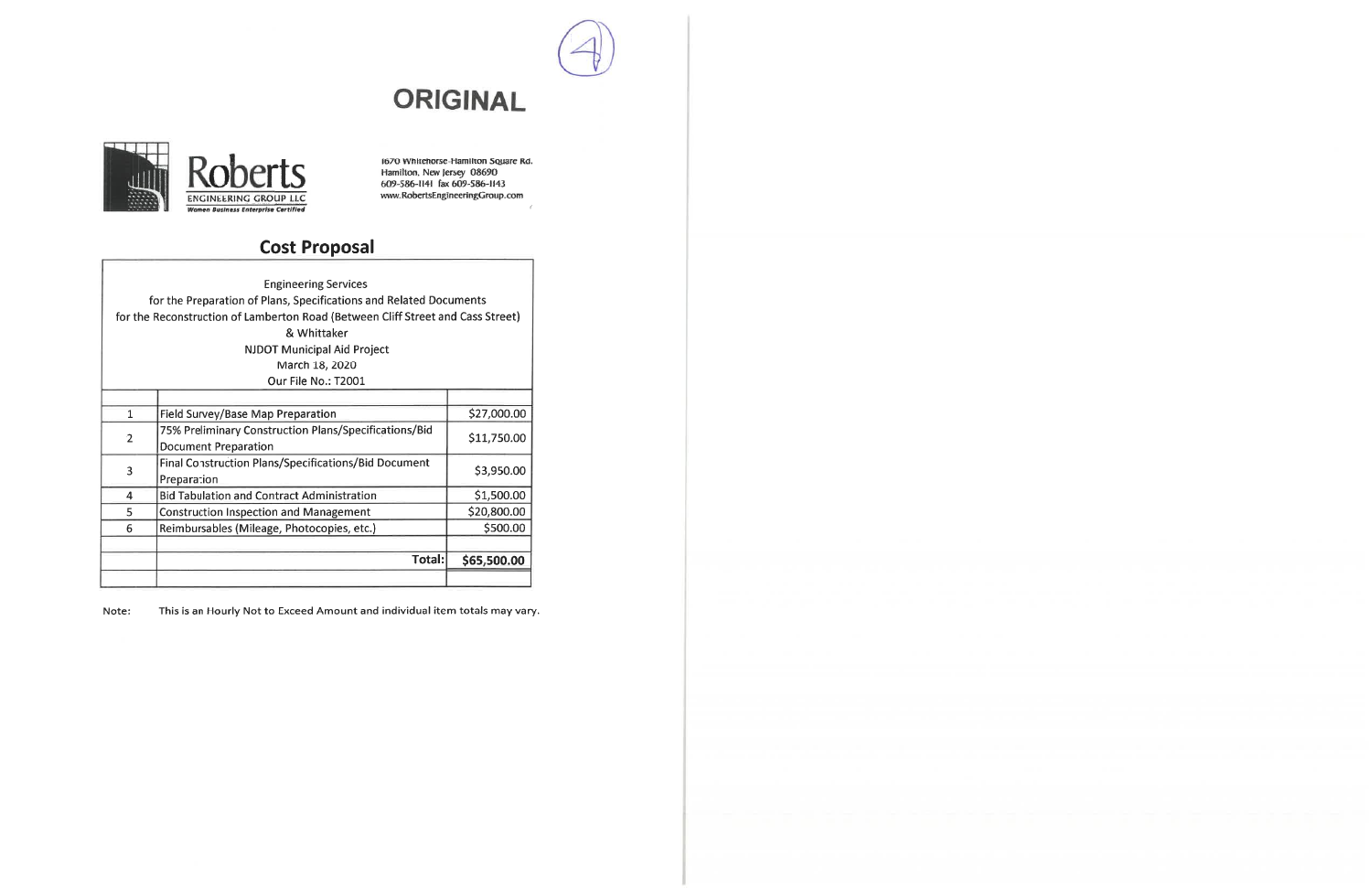



1670 Whitehorse-Hamilton Souare Rd.<br>Hamilton, New Jersey 08690<br>609-586-1141 fax 609-586-1143<br>www.RobertsEngineeringGroup.com

# **Cost Proposal**

|                | <b>Engineering Services</b><br>for the Preparation of Plans, Specifications and Related Documents<br>for the Reconstruction of Lamberton Road (Between Cliff Street and Cass Street)<br>& Whittaker<br><b>NJDOT Municipal Aid Project</b><br>March 18, 2020 |             |
|----------------|-------------------------------------------------------------------------------------------------------------------------------------------------------------------------------------------------------------------------------------------------------------|-------------|
|                | Our File No.: T2001                                                                                                                                                                                                                                         |             |
|                |                                                                                                                                                                                                                                                             |             |
| $\mathbf{1}$   | Field Survey/Base Map Preparation                                                                                                                                                                                                                           | \$27,000.00 |
| $\overline{2}$ | 75% Preliminary Construction Plans/Specifications/Bid<br><b>Document Preparation</b>                                                                                                                                                                        | \$11,750.00 |
| 3              | <b>Final Construction Plans/Specifications/Bid Document</b><br>Preparation                                                                                                                                                                                  | \$3,950.00  |
| 4              | <b>Bid Tabulation and Contract Administration</b>                                                                                                                                                                                                           | \$1,500.00  |
| 5              | <b>Construction Inspection and Management</b>                                                                                                                                                                                                               | \$20,800.00 |
| 6              | Reimbursables (Mileage, Photocopies, etc.)                                                                                                                                                                                                                  | \$500.00    |
|                |                                                                                                                                                                                                                                                             |             |
|                | Total:                                                                                                                                                                                                                                                      | \$65,500.00 |

This is an Hourly Not to Exceed Amount and individual item totals may vary. Note: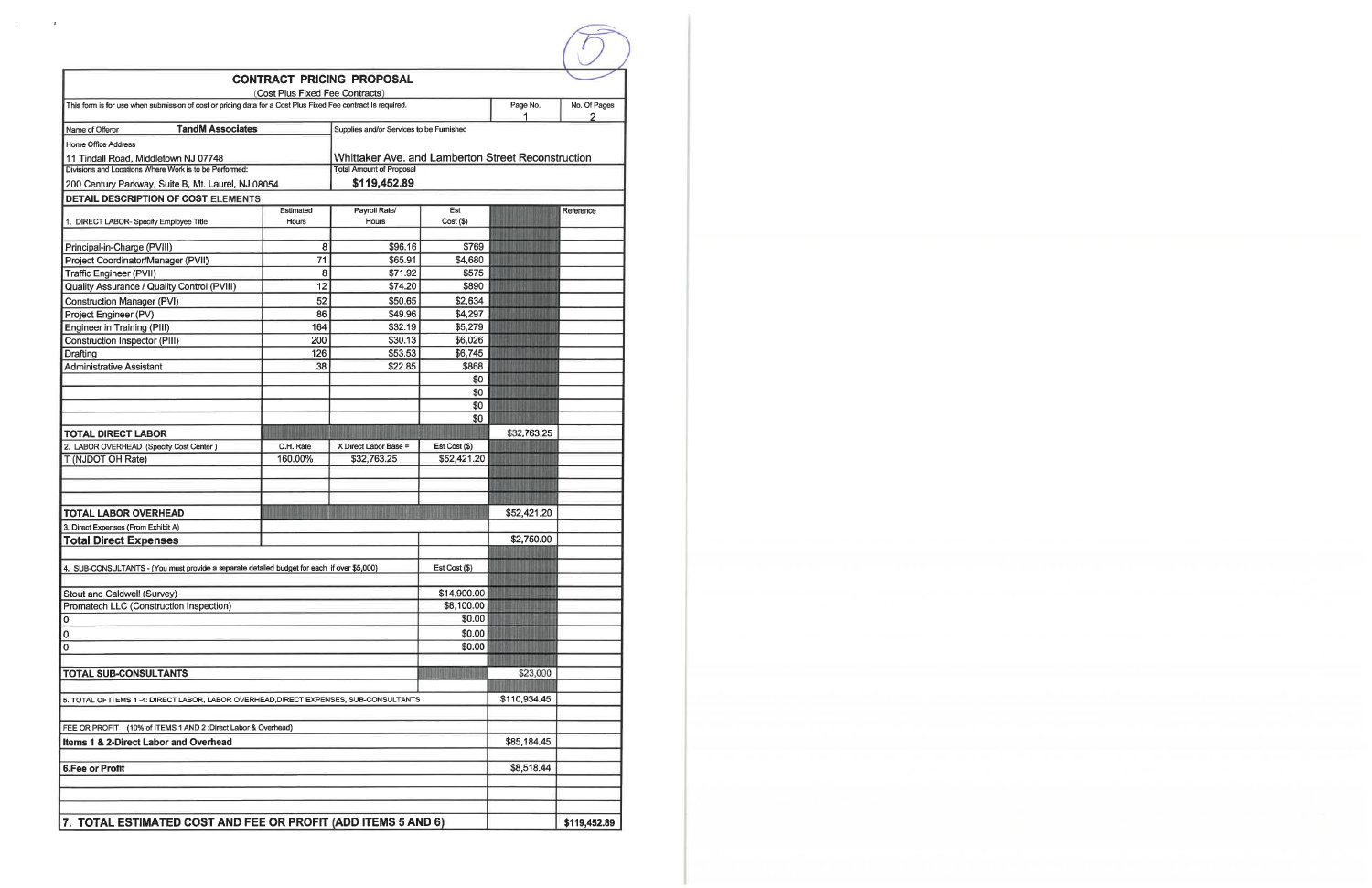|                                                                                                              |                                 | <b>CONTRACT PRICING PROPOSAL</b>                   |                                                               |               |                   |
|--------------------------------------------------------------------------------------------------------------|---------------------------------|----------------------------------------------------|---------------------------------------------------------------|---------------|-------------------|
|                                                                                                              | (Cost Plus Fixed Fee Contracts) |                                                    |                                                               |               |                   |
| This form is for use when submission of cost or pricing data for a Cost Plus Fixed Fee contract Is required. |                                 |                                                    |                                                               | Page No.<br>1 | No. Of Pages<br>2 |
| <b>TandM Associates</b><br>Name of Offeror                                                                   |                                 | Supplies and/or Services to be Furnished           |                                                               |               |                   |
| Home Office Address                                                                                          |                                 |                                                    |                                                               |               |                   |
| 11 Tindall Road, Middletown NJ 07748                                                                         |                                 | Whittaker Ave, and Lamberton Street Reconstruction |                                                               |               |                   |
| Divisions and Locations Where Work is to be Performed:                                                       |                                 | <b>Total Amount of Proposal</b>                    |                                                               |               |                   |
| 200 Century Parkway, Suite B, Mt. Laurel, NJ 08054                                                           |                                 | \$119,452.89                                       |                                                               |               |                   |
| DETAIL DESCRIPTION OF COST ELEMENTS                                                                          |                                 |                                                    |                                                               |               |                   |
|                                                                                                              | Estimated                       | Payroll Rate/                                      | Est                                                           |               | Reference         |
| 1. DIRECT LABOR- Specify Employee Title                                                                      | Hours                           | Hours                                              | Cost ( \$ )                                                   |               |                   |
|                                                                                                              |                                 |                                                    |                                                               |               |                   |
| Principal-in-Charge (PVIII)                                                                                  | 8                               | \$96.16                                            | \$769                                                         |               |                   |
| Project Coordinator/Manager (PVII)                                                                           | 71                              | \$65.91                                            | \$4,680                                                       |               |                   |
| Traffic Engineer (PVII)                                                                                      | 8<br>12                         | \$71.92                                            | \$575                                                         |               |                   |
| <b>Quality Assurance / Quality Control (PVIII)</b>                                                           |                                 | \$74.20                                            | \$890                                                         |               |                   |
| <b>Construction Manager (PVI)</b>                                                                            | 52                              | \$50.65                                            | \$2,634                                                       |               |                   |
| Project Engineer (PV)                                                                                        | 86                              | \$49.96                                            | \$4,297                                                       |               |                   |
| Engineer in Training (PIII)                                                                                  | 164<br>200                      | \$32.19<br>\$30.13                                 | \$5,279<br>\$6,026                                            |               |                   |
| Construction Inspector (PIII)                                                                                | 126                             | \$53.53                                            | \$6,745                                                       |               |                   |
| Drafting<br><b>Administrative Assistant</b>                                                                  | 38                              | \$22.85                                            | \$868                                                         |               |                   |
|                                                                                                              |                                 |                                                    | \$0                                                           |               |                   |
|                                                                                                              |                                 |                                                    | \$0                                                           |               |                   |
|                                                                                                              |                                 |                                                    | \$0                                                           |               |                   |
|                                                                                                              |                                 |                                                    | \$0                                                           |               |                   |
| <b>TOTAL DIRECT LABOR</b>                                                                                    |                                 |                                                    |                                                               | \$32,763.25   |                   |
| 2. LABOR OVERHEAD (Specify Cost Center)                                                                      | O.H. Rate                       | X Direct Labor Base =                              | Est Cost (\$)                                                 |               |                   |
| T (NJDOT OH Rate)                                                                                            | 160.00%                         | \$32,763.25                                        | \$52,421.20                                                   |               |                   |
|                                                                                                              |                                 |                                                    |                                                               |               |                   |
|                                                                                                              |                                 |                                                    |                                                               |               |                   |
|                                                                                                              |                                 |                                                    |                                                               |               |                   |
| <b>TOTAL LABOR OVERHEAD</b>                                                                                  |                                 |                                                    |                                                               | \$52,421.20   |                   |
| 3. Direct Expenses (From Exhibit A)                                                                          |                                 |                                                    |                                                               |               |                   |
| <b>Total Direct Expenses</b>                                                                                 |                                 |                                                    |                                                               | \$2,750.00    |                   |
|                                                                                                              |                                 |                                                    |                                                               |               |                   |
| 4. SUB-CONSULTANTS - (You must provide a separate detailed budget for each if over \$5,000)                  |                                 |                                                    | Est Cost (\$)                                                 |               |                   |
|                                                                                                              |                                 |                                                    |                                                               |               |                   |
| Stout and Caldwell (Survey)                                                                                  |                                 |                                                    | \$14,900.00                                                   |               |                   |
| Promatech LLC (Construction Inspection)                                                                      |                                 |                                                    | \$8,100.00                                                    |               |                   |
| 0                                                                                                            |                                 |                                                    | \$0.00                                                        |               |                   |
| 0                                                                                                            |                                 |                                                    | \$0.00                                                        |               |                   |
| 0                                                                                                            |                                 |                                                    | \$0.00                                                        |               |                   |
|                                                                                                              |                                 |                                                    |                                                               |               |                   |
| <b>TOTAL SUB-CONSULTANTS</b>                                                                                 |                                 |                                                    |                                                               | \$23,000      |                   |
|                                                                                                              |                                 |                                                    |                                                               |               |                   |
| 5. TOTAL OF ITEMS 1-4: DIRECT LABOR, LABOR OVERHEAD, DIRECT EXPENSES, SUB-CONSULTANTS                        |                                 |                                                    |                                                               | \$110,934.45  |                   |
|                                                                                                              |                                 |                                                    |                                                               |               |                   |
| FEE OR PROFIT (10% of ITEMS 1 AND 2: Direct Labor & Overhead)                                                |                                 |                                                    |                                                               |               |                   |
| Items 1 & 2-Direct Labor and Overhead                                                                        |                                 |                                                    |                                                               | \$85,184.45   |                   |
|                                                                                                              |                                 |                                                    |                                                               |               |                   |
| <b>6.Fee or Profit</b>                                                                                       |                                 |                                                    |                                                               | \$8,518.44    |                   |
|                                                                                                              |                                 |                                                    |                                                               |               |                   |
|                                                                                                              |                                 |                                                    |                                                               |               |                   |
|                                                                                                              |                                 |                                                    |                                                               |               |                   |
|                                                                                                              |                                 |                                                    | 7. TOTAL ESTIMATED COST AND FEE OR PROFIT (ADD ITEMS 5 AND 6) |               |                   |

 $\mathcal{K}^{\mathcal{A}}$  and  $\mathcal{A}^{\mathcal{A}}$  and  $\mathcal{A}^{\mathcal{A}}$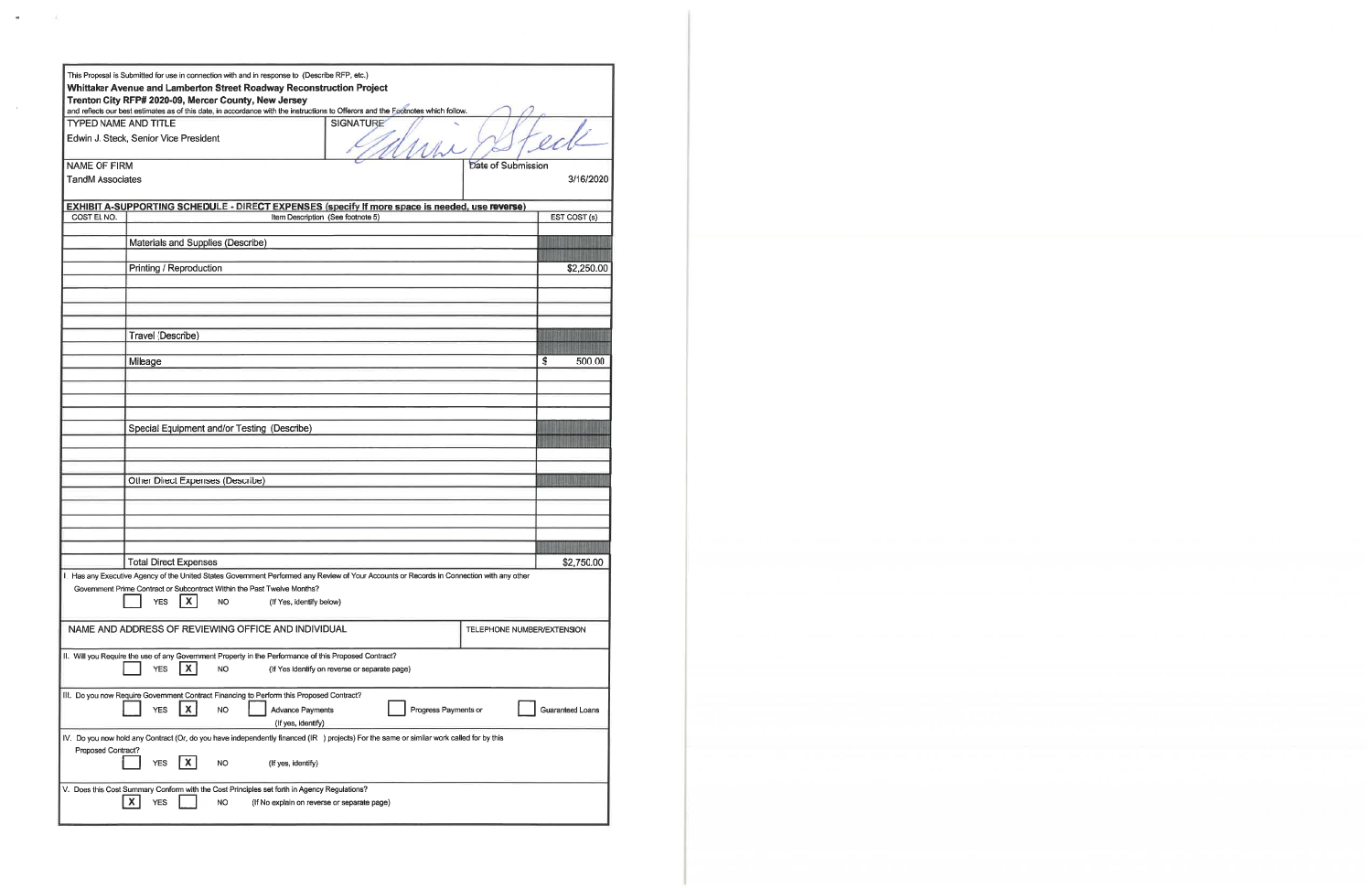|                             | This Proposal is Submitted for use in connection with and in response to (Describe RFP, etc.)                                                                                                                        |                                               |                            |
|-----------------------------|----------------------------------------------------------------------------------------------------------------------------------------------------------------------------------------------------------------------|-----------------------------------------------|----------------------------|
|                             | Whittaker Avenue and Lamberton Street Roadway Reconstruction Project<br>Trenton City RFP# 2020-09, Mercer County, New Jersey                                                                                         |                                               |                            |
|                             | and reflects our best estimates as of this date, in accordance with the instructions to Offerors and the Footnotes which follow.                                                                                     |                                               |                            |
| <b>TYPED NAME AND TITLE</b> |                                                                                                                                                                                                                      | <b>SIGNATURE</b>                              |                            |
|                             | Edwin J. Steck, Senior Vice President                                                                                                                                                                                |                                               |                            |
| <b>NAME OF FIRM</b>         |                                                                                                                                                                                                                      |                                               | Date of Submission         |
| <b>TandM Associates</b>     |                                                                                                                                                                                                                      |                                               | 3/16/2020                  |
|                             |                                                                                                                                                                                                                      |                                               |                            |
|                             | EXHIBIT A-SUPPORTING SCHEDULE - DIRECT EXPENSES (specify If more space is needed, use reverse)                                                                                                                       |                                               |                            |
| COST EL NO.                 | Item Description (See footnote 5)                                                                                                                                                                                    |                                               | EST COST (s)               |
|                             |                                                                                                                                                                                                                      |                                               |                            |
|                             | Materials and Supplies (Describe)                                                                                                                                                                                    |                                               |                            |
|                             |                                                                                                                                                                                                                      |                                               |                            |
|                             | Printing / Reproduction                                                                                                                                                                                              |                                               | \$2,250.00                 |
|                             |                                                                                                                                                                                                                      |                                               |                            |
|                             |                                                                                                                                                                                                                      |                                               |                            |
|                             |                                                                                                                                                                                                                      |                                               |                            |
|                             | Travel (Describe)                                                                                                                                                                                                    |                                               |                            |
|                             |                                                                                                                                                                                                                      |                                               |                            |
|                             | Mileage                                                                                                                                                                                                              |                                               | \$<br>500.00               |
|                             |                                                                                                                                                                                                                      |                                               |                            |
|                             |                                                                                                                                                                                                                      |                                               |                            |
|                             |                                                                                                                                                                                                                      |                                               |                            |
|                             |                                                                                                                                                                                                                      |                                               |                            |
|                             | Special Equipment and/or Testing (Describe)                                                                                                                                                                          |                                               |                            |
|                             |                                                                                                                                                                                                                      |                                               |                            |
|                             |                                                                                                                                                                                                                      |                                               |                            |
|                             |                                                                                                                                                                                                                      |                                               |                            |
|                             | Other Direct Expenses (Describe)                                                                                                                                                                                     |                                               |                            |
|                             |                                                                                                                                                                                                                      |                                               |                            |
|                             |                                                                                                                                                                                                                      |                                               |                            |
|                             |                                                                                                                                                                                                                      |                                               |                            |
|                             |                                                                                                                                                                                                                      |                                               |                            |
|                             |                                                                                                                                                                                                                      |                                               |                            |
|                             | <b>Total Direct Expenses</b>                                                                                                                                                                                         |                                               | \$2,750.00                 |
|                             | I. Has any Executive Agency of the United States Government Performed any Review of Your Accounts or Records in Connection with any other<br>Government Prime Contract or Subcontract Within the Past Twelve Months? |                                               |                            |
|                             | X.<br><b>YES</b><br><b>NO</b><br>(If Yes, identify below)                                                                                                                                                            |                                               |                            |
|                             |                                                                                                                                                                                                                      |                                               |                            |
|                             | NAME AND ADDRESS OF REVIEWING OFFICE AND INDIVIDUAL                                                                                                                                                                  |                                               | TELEPHONE NUMBER/EXTENSION |
|                             |                                                                                                                                                                                                                      |                                               |                            |
|                             | II. Will you Require the use of any Government Property in the Performance of this Proposed Contract?                                                                                                                |                                               |                            |
|                             | <b>YES</b><br>X.<br>NO.                                                                                                                                                                                              | (If Yes identify on reverse or separate page) |                            |
|                             |                                                                                                                                                                                                                      |                                               |                            |
|                             | III. Do you now Require Government Contract Financing to Perform this Proposed Contract?                                                                                                                             |                                               |                            |
|                             | <b>YES</b><br>X.<br><b>NO</b><br><b>Advance Payments</b>                                                                                                                                                             | Progress Payments or                          | Guaranteed Loans           |
|                             | (If yes, identify)                                                                                                                                                                                                   |                                               |                            |
|                             | IV. Do you now hold any Contract (Or, do you have independently financed (IR) projects) For the same or similar work called for by this                                                                              |                                               |                            |
| Proposed Contract?          |                                                                                                                                                                                                                      |                                               |                            |
|                             | <b>YES</b><br>NO<br>(If yes, identify)                                                                                                                                                                               |                                               |                            |
|                             |                                                                                                                                                                                                                      |                                               |                            |
|                             | V. Does this Cost Summary Conform with the Cost Principles set forth in Agency Regulations?                                                                                                                          |                                               |                            |
|                             | $\mathbf{x}$<br><b>YES</b><br><b>NO</b><br>(If No explain on reverse or separate page)                                                                                                                               |                                               |                            |
|                             |                                                                                                                                                                                                                      |                                               |                            |

 $\sim$   $-23$ 

 $\mathbf{u}$ 

 $\sim 0.5$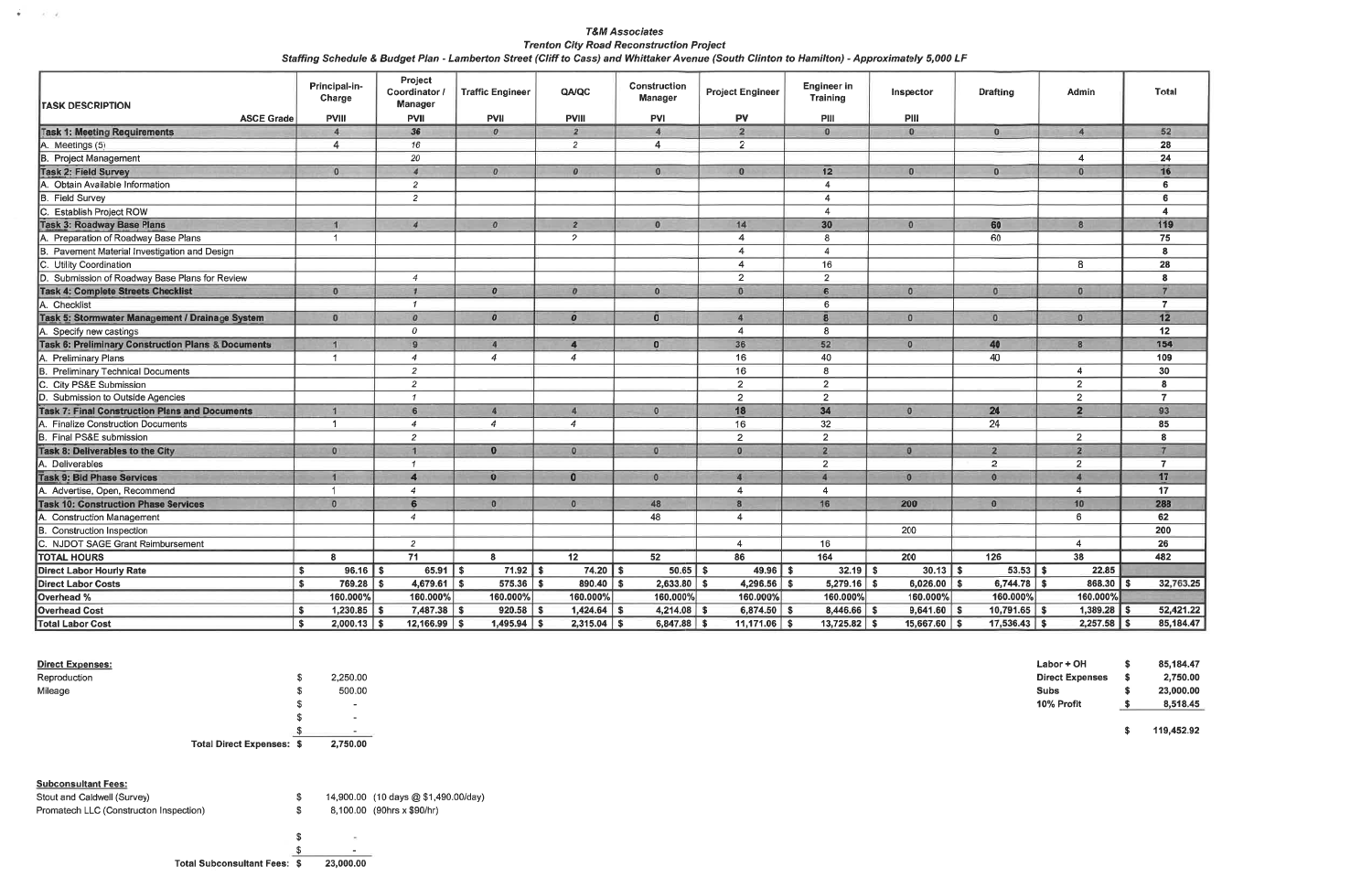| <b>T&amp;M Associates</b>                                                                                                                    |
|----------------------------------------------------------------------------------------------------------------------------------------------|
| <b>Trenton City Road Reconstruction Project</b>                                                                                              |
| Staffing Schedule & Budget Plan - Lamberton Street (Cliff to Cass) and Whittaker Avenue (South Clinton to Hamilton) - Approximately 5,000 LF |

| <b>TASK DESCRIPTION</b><br><b>ASCE Grade</b>                  | Principal-in-<br>Charge<br><b>PVIII</b> | Project<br>Coordinator /<br>Manager<br><b>PVII</b> | <b>Traffic Engineer</b><br><b>PVII</b> | QA/QC<br><b>PVIII</b>         | <b>Construction</b><br><b>Manager</b><br><b>PVI</b> | <b>Project Engineer</b><br><b>PV</b> | <b>Engineer in</b><br><b>Training</b><br>PIII | Inspector<br>PIII       | <b>Drafting</b>  | <b>Admin</b>   | Total                 |
|---------------------------------------------------------------|-----------------------------------------|----------------------------------------------------|----------------------------------------|-------------------------------|-----------------------------------------------------|--------------------------------------|-----------------------------------------------|-------------------------|------------------|----------------|-----------------------|
| <b>Task 1: Meeting Requirements</b>                           | $\overline{4}$                          | 36                                                 | $\mathbf{0}$                           | $\overline{2}$                | $\mathbf{A}$                                        | $\overline{2}$                       | $\mathbf{0}$                                  | $\Omega$                | $\mathbf{0}$     | $\overline{4}$ | 52                    |
| Meetings (5)                                                  | $\overline{4}$                          | 16                                                 |                                        | $\overline{2}$                | $\overline{4}$                                      | $\overline{2}$                       |                                               |                         |                  |                | 28                    |
| <b>B.</b> Project Management                                  |                                         | 20                                                 |                                        |                               |                                                     |                                      |                                               |                         |                  | $\overline{4}$ | 24                    |
| Task 2: Field Survey                                          | $\mathbf{0}$                            | $\overline{4}$                                     | $\boldsymbol{0}$                       | $\boldsymbol{o}$              | $\Omega$                                            | $\mathbf{0}$                         | 12                                            | $\mathbf{0}$            | $\mathbf{0}$     | $\overline{0}$ | 16                    |
| Obtain Available Information                                  |                                         | $\overline{2}$                                     |                                        |                               |                                                     |                                      | 4                                             |                         |                  |                | 6                     |
| <b>Field Survey</b>                                           |                                         | $\overline{2}$                                     |                                        |                               |                                                     |                                      | $\overline{4}$                                |                         |                  |                | 6                     |
| C. Establish Project ROW                                      |                                         |                                                    |                                        |                               |                                                     |                                      | 4                                             |                         |                  |                | $\overline{4}$        |
| <b>Task 3: Roadway Base Plans</b>                             | $\mathbf{1}$                            | $\overline{4}$                                     | $\boldsymbol{0}$                       | $\overline{2}$                | $\theta$                                            | 14                                   | 30                                            | $\Omega$                | 60               | $\mathbf{g}$   | 119                   |
| A. Preparation of Roadway Base Plans                          | $\overline{1}$                          |                                                    |                                        | $\overline{2}$                |                                                     | $\overline{4}$                       | 8                                             |                         | 60               |                | 75                    |
| B. Pavement Material Investigation and Design                 |                                         |                                                    |                                        |                               |                                                     | $\overline{\bf{4}}$                  | $\overline{4}$                                |                         |                  |                | 8                     |
| C. Utility Coordination                                       |                                         |                                                    |                                        |                               |                                                     | $\overline{\mathbf{A}}$              | 16                                            |                         |                  | 8              | $\overline{28}$       |
| D. Submission of Roadway Base Plans for Review                |                                         | $\overline{4}$                                     |                                        |                               |                                                     | $\overline{2}$                       | $\overline{2}$                                |                         |                  |                | 8                     |
| <b>Task 4: Complete Streets Checklist</b>                     | $\mathbf{0}$                            | $\mathbf{I}$                                       | $\boldsymbol{0}$                       | $\boldsymbol{0}$              | $\mathbf{0}$                                        | $\mathbf{0}$                         | 6                                             | $\mathbf{0}$            | $\mathbf{0}$     | $\mathbf{0}$   | $\overline{7}$        |
| A. Checklist                                                  |                                         | $\overline{1}$                                     |                                        |                               |                                                     |                                      | 6                                             |                         |                  |                | $\overline{7}$        |
| Task 5: Stormwater Management / Drainage System               | $\mathbf{0}$                            | $\overline{a}$                                     | $\boldsymbol{0}$                       | $\boldsymbol{0}$              | $\bf{0}$                                            | $\overline{A}$                       | $\mathbf{8}$                                  | $\Omega$                | $\mathbf{0}$     | $\mathbf{0}$   | 12                    |
| A. Specify new castings                                       |                                         | $\overline{a}$                                     |                                        |                               |                                                     | $\overline{4}$                       | 8                                             |                         |                  |                | 12                    |
| <b>Task 6: Preliminary Construction Plans &amp; Documents</b> | и                                       | $\mathbf{q}$                                       | $\overline{4}$                         | $\overline{4}$                | $\mathbf{0}$                                        | 36                                   | 52                                            | $\mathbf{0}$            | 40               | $\overline{8}$ | 154                   |
| A. Preliminary Plans                                          | $\mathbf{1}$                            | $\overline{4}$                                     | $\overline{4}$                         | $\overline{4}$                |                                                     | 16                                   | 40                                            |                         | 40               |                | 109                   |
| B. Preliminary Technical Documents                            |                                         | $\overline{2}$                                     |                                        |                               |                                                     | 16                                   | 8                                             |                         |                  | 4              | 30                    |
| C. City PS&E Submission                                       |                                         | $\overline{2}$                                     |                                        |                               |                                                     | $\overline{2}$                       | $\overline{2}$                                |                         |                  | $\overline{2}$ | $\bf{8}$              |
| D. Submission to Outside Agencies                             |                                         | $\mathcal{I}$                                      |                                        |                               |                                                     | $\overline{2}$                       | $\overline{2}$                                |                         |                  | $\overline{2}$ | $\overline{7}$        |
| <b>Task 7: Final Construction Plans and Documents</b>         | и                                       | $6\phantom{1}$                                     | $\overline{a}$                         | $\overline{4}$                | $\mathbf{0}$                                        | 18                                   | 34                                            | $\mathbf{0}$            | 24               | $\overline{2}$ | 93                    |
| A. Finalize Construction Documents                            | $\mathbf{1}$                            | $\overline{4}$                                     | $\overline{4}$                         | $\overline{4}$                |                                                     | 16                                   | 32                                            |                         | 24               |                | 85                    |
| B. Final PS&E submission                                      |                                         | $\overline{2}$                                     |                                        |                               |                                                     | $\overline{2}$                       | $\overline{2}$                                |                         |                  | $\overline{2}$ | 8                     |
| Task 8: Deliverables to the City                              | $\mathbf{0}$                            | $\blacktriangleleft$                               | $\mathbf{0}$                           | $\bullet$                     | $\mathbf{0}$                                        | $\mathbf{0}$                         | $\overline{2}$                                | $\overline{0}$          | $\overline{2}$   | $\overline{2}$ | $\overline{7}$        |
| A. Deliverables                                               |                                         | $\mathcal{I}$                                      |                                        |                               |                                                     |                                      | $\overline{2}$                                |                         | $\overline{2}$   | $\overline{2}$ | $\overline{7}$        |
| <b>Task 9: Bid Phase Services</b>                             | $\mathbf{A}$                            | $\overline{4}$                                     | $\mathbf{o}$                           | $\bullet$                     | $\mathbf{0}$                                        | A                                    | $\boldsymbol{A}$                              | $\overline{\mathbf{0}}$ | $\mathbf{0}$     | $\overline{a}$ | 17 <sup>2</sup>       |
| A. Advertise, Open, Recommend                                 | $\blacktriangleleft$                    | $\overline{4}$                                     |                                        |                               |                                                     | $\overline{a}$                       | 4                                             |                         |                  | 4              | 17                    |
| <b>Task 10: Construction Phase Services</b>                   | $\theta$                                | 6                                                  | $\mathbf{0}$                           | $\overline{0}$                | 48                                                  | $\overline{8}$                       | 16                                            | 200                     | $\mathbf{0}$     | 10             | 288                   |
| A. Construction Management                                    |                                         | $\overline{4}$                                     |                                        |                               | 48                                                  | $\overline{4}$                       |                                               |                         |                  | $6^{\circ}$    | 62                    |
| <b>Construction Inspection</b>                                |                                         |                                                    |                                        |                               |                                                     |                                      |                                               | 200                     |                  |                | 200                   |
| C. NJDOT SAGE Grant Reimbursement                             |                                         | $\overline{2}$                                     |                                        |                               |                                                     | $\overline{4}$                       | 16                                            |                         |                  | $\overline{4}$ | 26                    |
| <b>TOTAL HOURS</b>                                            | $\mathbf{R}$                            | $\overline{71}$                                    | 8                                      | $\overline{12}$               | 52                                                  | 86                                   | 164                                           | 200                     | $\overline{126}$ | 38             | 482                   |
| <b>Direct Labor Hourly Rate</b>                               | $\sqrt{2}$<br>$96.16$ \$                | $65.91$ \$                                         | $71.92$ \$                             | $74.20$ \$                    | $50.65$ \$                                          | $49.96$ \$                           | $32.19$ \$                                    | $30.13$ \$              | $53.53$ \$       | 22.85          |                       |
| <b>Direct Labor Costs</b>                                     | $\mathbf{s}$<br>769.28                  | 4,679.61<br>$\mathbf{s}$                           | $575.36$ \$<br>$\mathbf{s}$            | $890.40$ \$                   | $2,633.80$ \$                                       | $4,296.56$ \$                        | $5,279.16$ \$                                 | $6,026.00$ \$           | $6,744.78$ \$    | 868.30         | 32,763.25<br><b>S</b> |
| Overhead %                                                    | 160.000%                                | 160.000%                                           | 160.000%                               | 160.000%                      | 160.000%                                            | 160.000%                             | 160.000%                                      | 160.000%                | 160.000%         | 160.000%       |                       |
| <b>Overhead Cost</b>                                          | $1,230.85$ \$<br>$\mathbf{s}$           | $7,487.38$ \$                                      | 920.58                                 | $1,424.64$ \$<br>$\mathbf{s}$ | 4,214.08                                            | $6,874.50$ \$<br><b>S</b>            | 8,446.66                                      | $9,641.60$ \$           | $10,791.65$ \$   | 1,389.28       | 52,421.22             |
| <b>Total Labor Cost</b>                                       | $2,000.13$ \$<br>$\mathbf{s}$           | $12,166.99$ \$                                     | $1,495.94$ \$                          | $2,315.04$ \$                 | $6,847.88$ \$                                       | $11,171.06$ \$                       | $13,725.82$ \$                                | $15,667.60$ \$          | $17,536.43$ \$   | $2,257.58$ \$  | 85,184.47             |

#### **Direct Expenses:**

 $\vec{r}$  ,  $\vec{r}$  ,  $\vec{x}$ 

| <b>Total Direct Expenses: \$</b> |    | 2,750.00 |
|----------------------------------|----|----------|
|                                  | æ  | ۰        |
|                                  | s  |          |
|                                  | S  | -        |
| Mileage                          | \$ | 500.00   |
| Reproduction                     | \$ | 2,250.00 |

#### **Subconsultant Fees:**

| Stout and Caldwell (Survey)             |           | 14,900.00 (10 days @ \$1,490.00/day) |
|-----------------------------------------|-----------|--------------------------------------|
| Promatech LLC (Construction Inspection) |           | 8,100.00 (90hrs x \$90/hr)           |
|                                         |           |                                      |
|                                         |           |                                      |
|                                         |           |                                      |
| <b>Total Subconsultant Fees: \$</b>     | 23,000.00 |                                      |

| Labor + OH             | s  | 85,184.47 |
|------------------------|----|-----------|
| <b>Direct Expenses</b> | s  | 2,750.00  |
| Subs                   | \$ | 23,000.00 |
| 10% Profit             | s  | 8,518.45  |
|                        |    |           |

 $$ 119,452.92$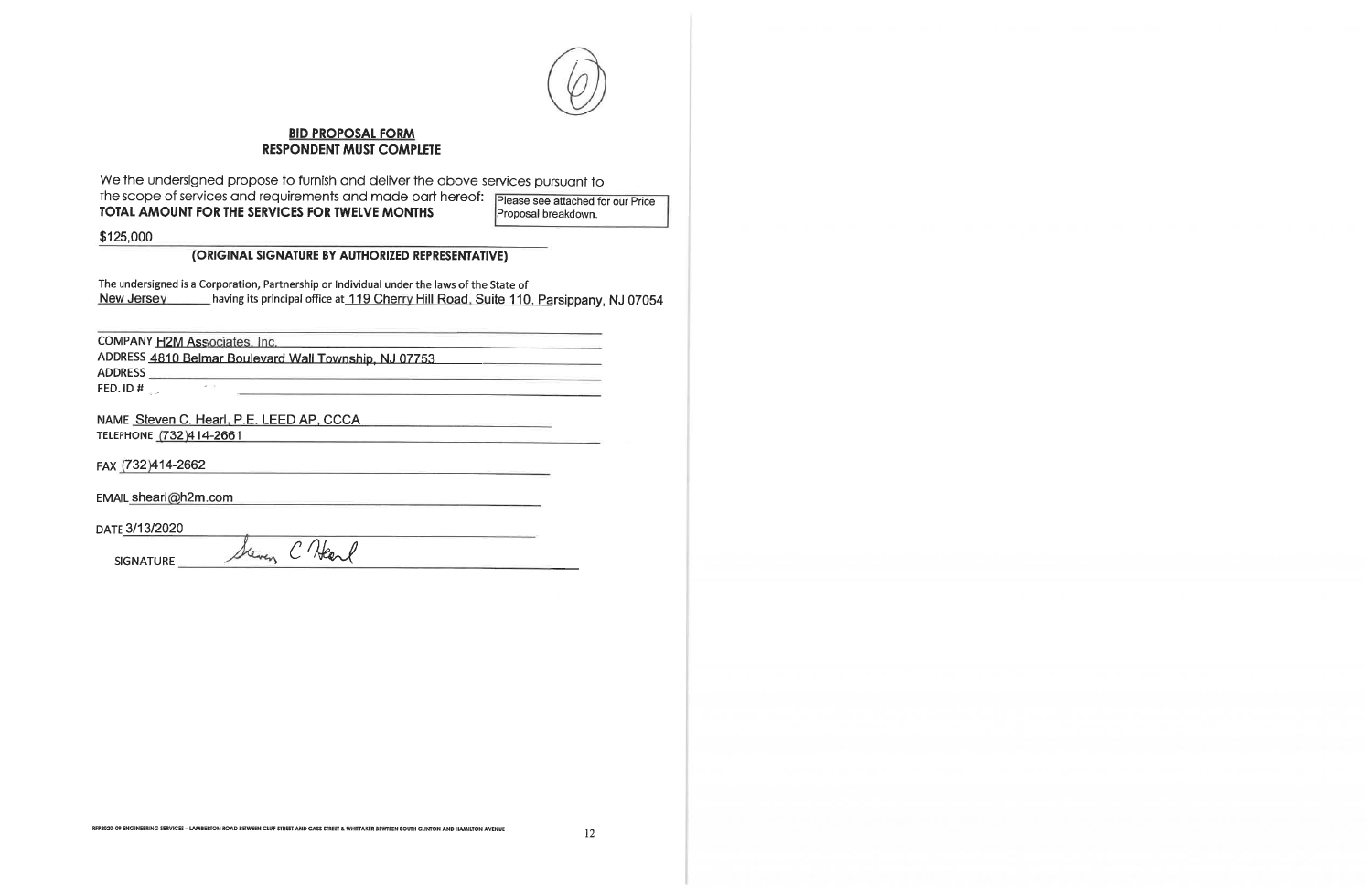

### **BID PROPOSAL FORM RESPONDENT MUST COMPLETE**

We the undersigned propose to furnish and deliver the above services pursuant to the scope of services and requirements and made part hereof: Please see attached for our Price TOTAL AMOUNT FOR THE SERVICES FOR TWELVE MONTHS

Proposal breakdown.

\$125,000

### (ORIGINAL SIGNATURE BY AUTHORIZED REPRESENTATIVE)

The undersigned is a Corporation, Partnership or Individual under the laws of the State of having its principal office at 119 Cherry Hill Road, Suite 110, Parsippany, NJ 07054 New Jersey

COMPANY H2M Associates, Inc. ADDRESS 4810 Belmar Boulevard Wall Township, NJ 07753 **ADDRESS** FED. ID #

Steven C Heard

NAME Steven C. Hearl, P.E. LEED AP, CCCA. TELEPHONE (732)414-2661

FAX (732)414-2662

EMAIL shearl@h2m.com

DATE 3/13/2020

**SIGNATURE**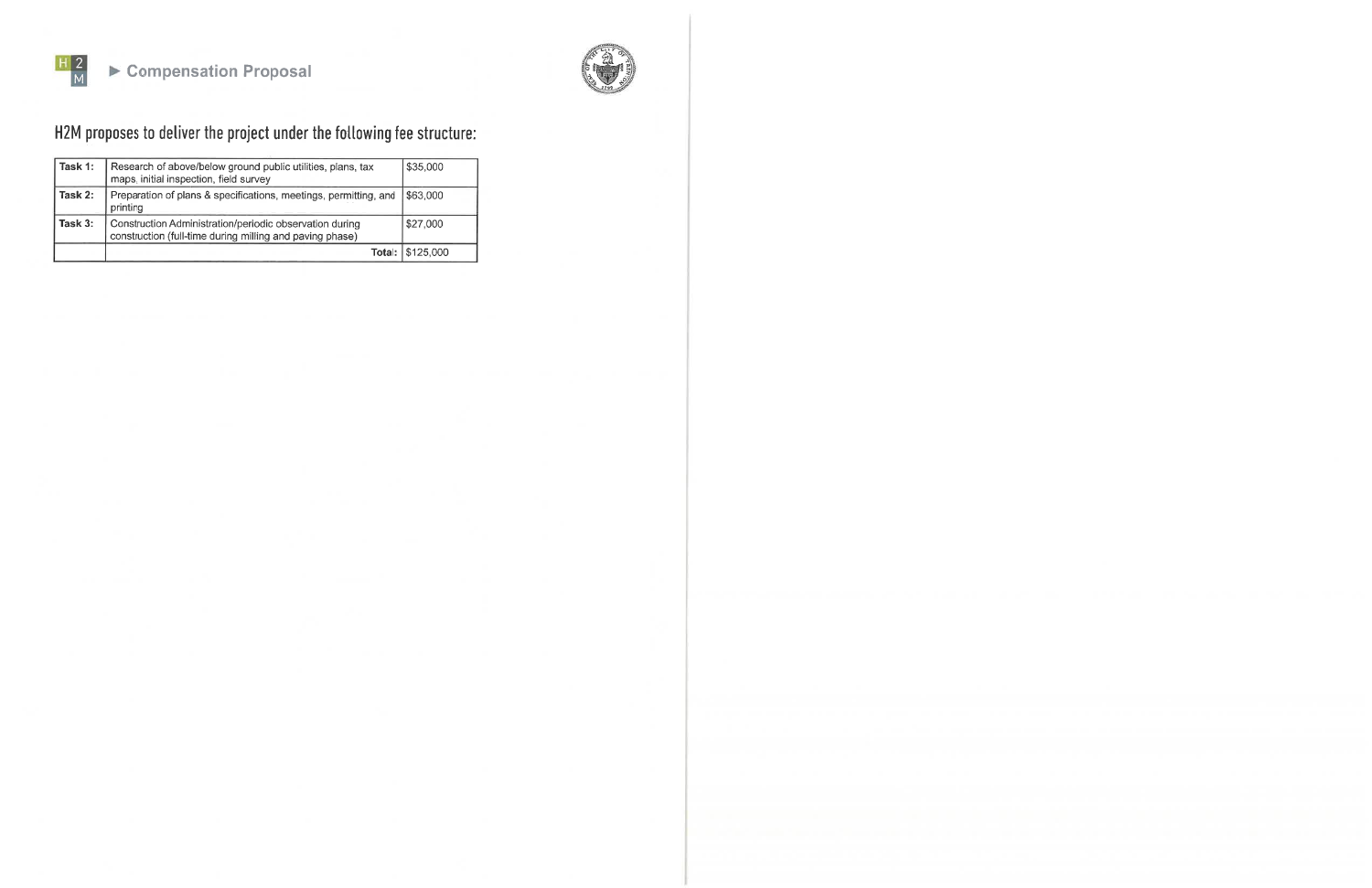



H2M proposes to deliver the project under the following fee structure:

| Task 1: | Research of above/below ground public utilities, plans, tax<br>maps, initial inspection, field survey               | \$35,000         |
|---------|---------------------------------------------------------------------------------------------------------------------|------------------|
| Task 2: | Preparation of plans & specifications, meetings, permitting, and<br>printing                                        | \$63,000         |
| Task 3: | Construction Administration/periodic observation during<br>construction (full-time during milling and paving phase) | \$27,000         |
|         |                                                                                                                     | Total: \$125,000 |